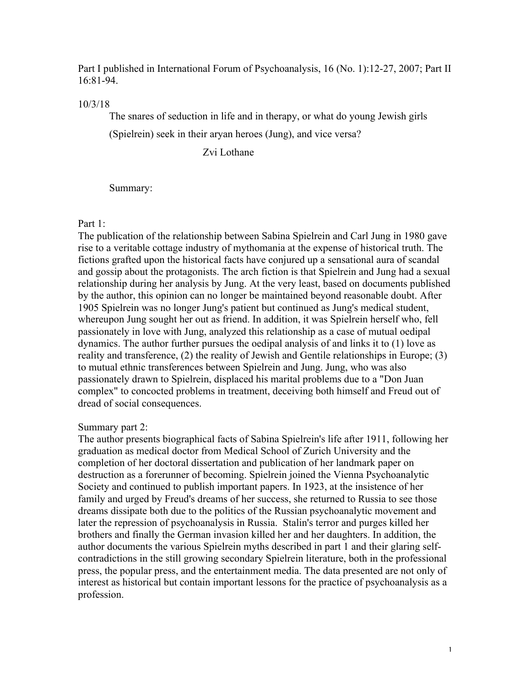Part I published in International Forum of Psychoanalysis, 16 (No. 1):12-27, 2007; Part II 16:81-94.

10/3/18

The snares of seduction in life and in therapy, or what do young Jewish girls

(Spielrein) seek in their aryan heroes (Jung), and vice versa?

Zvi Lothane

Summary:

# Part 1:

The publication of the relationship between Sabina Spielrein and Carl Jung in 1980 gave rise to a veritable cottage industry of mythomania at the expense of historical truth. The fictions grafted upon the historical facts have conjured up a sensational aura of scandal and gossip about the protagonists. The arch fiction is that Spielrein and Jung had a sexual relationship during her analysis by Jung. At the very least, based on documents published by the author, this opinion can no longer be maintained beyond reasonable doubt. After 1905 Spielrein was no longer Jung's patient but continued as Jung's medical student, whereupon Jung sought her out as friend. In addition, it was Spielrein herself who, fell passionately in love with Jung, analyzed this relationship as a case of mutual oedipal dynamics. The author further pursues the oedipal analysis of and links it to (1) love as reality and transference, (2) the reality of Jewish and Gentile relationships in Europe; (3) to mutual ethnic transferences between Spielrein and Jung. Jung, who was also passionately drawn to Spielrein, displaced his marital problems due to a "Don Juan complex" to concocted problems in treatment, deceiving both himself and Freud out of dread of social consequences.

# Summary part 2:

The author presents biographical facts of Sabina Spielrein's life after 1911, following her graduation as medical doctor from Medical School of Zurich University and the completion of her doctoral dissertation and publication of her landmark paper on destruction as a forerunner of becoming. Spielrein joined the Vienna Psychoanalytic Society and continued to publish important papers. In 1923, at the insistence of her family and urged by Freud's dreams of her success, she returned to Russia to see those dreams dissipate both due to the politics of the Russian psychoanalytic movement and later the repression of psychoanalysis in Russia. Stalin's terror and purges killed her brothers and finally the German invasion killed her and her daughters. In addition, the author documents the various Spielrein myths described in part 1 and their glaring selfcontradictions in the still growing secondary Spielrein literature, both in the professional press, the popular press, and the entertainment media. The data presented are not only of interest as historical but contain important lessons for the practice of psychoanalysis as a profession.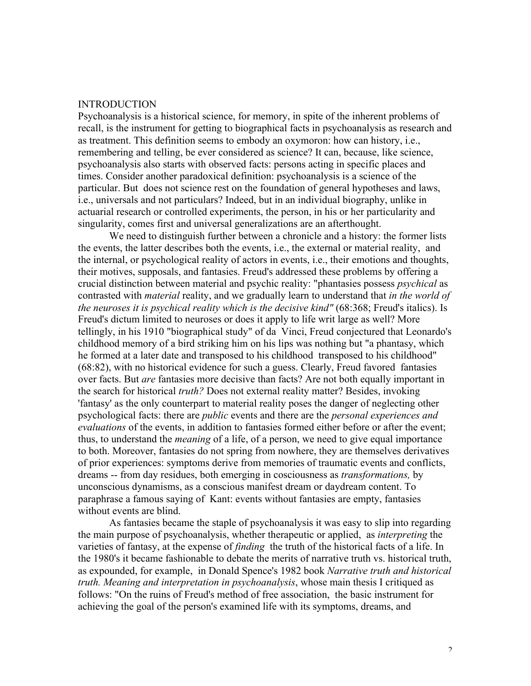#### INTRODUCTION

Psychoanalysis is a historical science, for memory, in spite of the inherent problems of recall, is the instrument for getting to biographical facts in psychoanalysis as research and as treatment. This definition seems to embody an oxymoron: how can history, i.e., remembering and telling, be ever considered as science? It can, because, like science, psychoanalysis also starts with observed facts: persons acting in specific places and times. Consider another paradoxical definition: psychoanalysis is a science of the particular. But does not science rest on the foundation of general hypotheses and laws, i.e., universals and not particulars? Indeed, but in an individual biography, unlike in actuarial research or controlled experiments, the person, in his or her particularity and singularity, comes first and universal generalizations are an afterthought.

We need to distinguish further between a chronicle and a history: the former lists the events, the latter describes both the events, i.e., the external or material reality, and the internal, or psychological reality of actors in events, i.e., their emotions and thoughts, their motives, supposals, and fantasies. Freud's addressed these problems by offering a crucial distinction between material and psychic reality: "phantasies possess *psychical* as contrasted with *material* reality, and we gradually learn to understand that *in the world of the neuroses it is psychical reality which is the decisive kind"* (68:368; Freud's italics). Is Freud's dictum limited to neuroses or does it apply to life writ large as well? More tellingly, in his 1910 "biographical study" of da Vinci, Freud conjectured that Leonardo's childhood memory of a bird striking him on his lips was nothing but "a phantasy, which he formed at a later date and transposed to his childhood transposed to his childhood" (68:82), with no historical evidence for such a guess. Clearly, Freud favored fantasies over facts. But *are* fantasies more decisive than facts? Are not both equally important in the search for historical *truth?* Does not external reality matter? Besides, invoking 'fantasy' as the only counterpart to material reality poses the danger of neglecting other psychological facts: there are *public* events and there are the *personal experiences and evaluations* of the events, in addition to fantasies formed either before or after the event; thus, to understand the *meaning* of a life, of a person, we need to give equal importance to both. Moreover, fantasies do not spring from nowhere, they are themselves derivatives of prior experiences: symptoms derive from memories of traumatic events and conflicts, dreams -- from day residues, both emerging in cosciousness as *transformations,* by unconscious dynamisms, as a conscious manifest dream or daydream content. To paraphrase a famous saying of Kant: events without fantasies are empty, fantasies without events are blind.

As fantasies became the staple of psychoanalysis it was easy to slip into regarding the main purpose of psychoanalysis, whether therapeutic or applied, as *interpreting* the varieties of fantasy, at the expense of *finding* the truth of the historical facts of a life. In the 1980's it became fashionable to debate the merits of narrative truth vs. historical truth, as expounded, for example, in Donald Spence's 1982 book *Narrative truth and historical truth. Meaning and interpretation in psychoanalysis*, whose main thesis I critiqued as follows: "On the ruins of Freud's method of free association, the basic instrument for achieving the goal of the person's examined life with its symptoms, dreams, and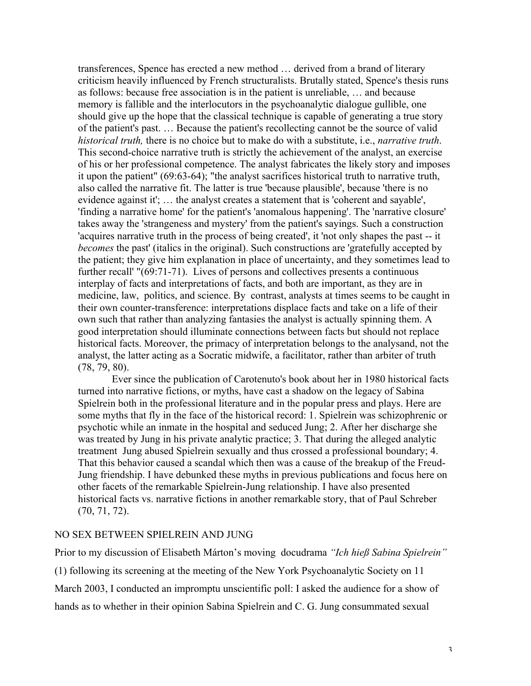transferences, Spence has erected a new method … derived from a brand of literary criticism heavily influenced by French structuralists. Brutally stated, Spence's thesis runs as follows: because free association is in the patient is unreliable, … and because memory is fallible and the interlocutors in the psychoanalytic dialogue gullible, one should give up the hope that the classical technique is capable of generating a true story of the patient's past. … Because the patient's recollecting cannot be the source of valid *historical truth,* there is no choice but to make do with a substitute, i.e., *narrative truth*. This second-choice narrative truth is strictly the achievement of the analyst, an exercise of his or her professional competence. The analyst fabricates the likely story and imposes it upon the patient" (69:63-64); "the analyst sacrifices historical truth to narrative truth, also called the narrative fit. The latter is true 'because plausible', because 'there is no evidence against it'; … the analyst creates a statement that is 'coherent and sayable', 'finding a narrative home' for the patient's 'anomalous happening'. The 'narrative closure' takes away the 'strangeness and mystery' from the patient's sayings. Such a construction 'acquires narrative truth in the process of being created', it 'not only shapes the past -- it *becomes* the past' (italics in the original). Such constructions are 'gratefully accepted by the patient; they give him explanation in place of uncertainty, and they sometimes lead to further recall' "(69:71-71). Lives of persons and collectives presents a continuous interplay of facts and interpretations of facts, and both are important, as they are in medicine, law, politics, and science. By contrast, analysts at times seems to be caught in their own counter-transference: interpretations displace facts and take on a life of their own such that rather than analyzing fantasies the analyst is actually spinning them. A good interpretation should illuminate connections between facts but should not replace historical facts. Moreover, the primacy of interpretation belongs to the analysand, not the analyst, the latter acting as a Socratic midwife, a facilitator, rather than arbiter of truth (78, 79, 80).

Ever since the publication of Carotenuto's book about her in 1980 historical facts turned into narrative fictions, or myths, have cast a shadow on the legacy of Sabina Spielrein both in the professional literature and in the popular press and plays. Here are some myths that fly in the face of the historical record: 1. Spielrein was schizophrenic or psychotic while an inmate in the hospital and seduced Jung; 2. After her discharge she was treated by Jung in his private analytic practice; 3. That during the alleged analytic treatment Jung abused Spielrein sexually and thus crossed a professional boundary; 4. That this behavior caused a scandal which then was a cause of the breakup of the Freud-Jung friendship. I have debunked these myths in previous publications and focus here on other facets of the remarkable Spielrein-Jung relationship. I have also presented historical facts vs. narrative fictions in another remarkable story, that of Paul Schreber (70, 71, 72).

### NO SEX BETWEEN SPIELREIN AND JUNG

Prior to my discussion of Elisabeth Márton's moving docudrama *"Ich hieß Sabina Spielrein"* (1) following its screening at the meeting of the New York Psychoanalytic Society on 11 March 2003, I conducted an impromptu unscientific poll: I asked the audience for a show of hands as to whether in their opinion Sabina Spielrein and C. G. Jung consummated sexual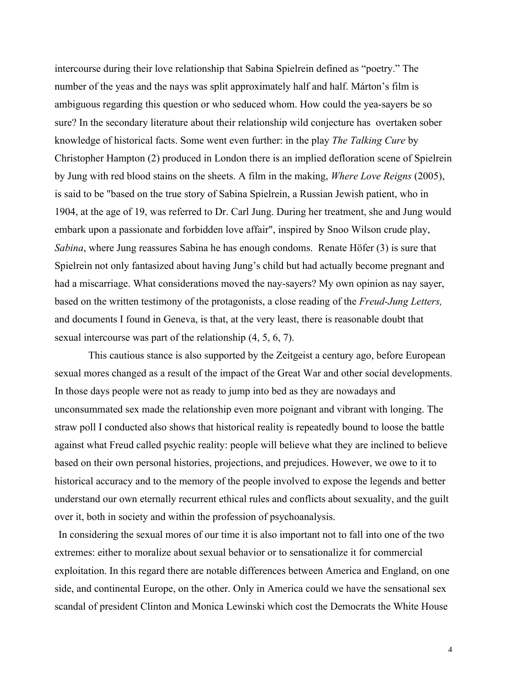intercourse during their love relationship that Sabina Spielrein defined as "poetry." The number of the yeas and the nays was split approximately half and half. Márton's film is ambiguous regarding this question or who seduced whom. How could the yea-sayers be so sure? In the secondary literature about their relationship wild conjecture has overtaken sober knowledge of historical facts. Some went even further: in the play *The Talking Cure* by Christopher Hampton (2) produced in London there is an implied defloration scene of Spielrein by Jung with red blood stains on the sheets. A film in the making, *Where Love Reigns* (2005), is said to be "based on the true story of Sabina Spielrein, a Russian Jewish patient, who in 1904, at the age of 19, was referred to Dr. Carl Jung. During her treatment, she and Jung would embark upon a passionate and forbidden love affair", inspired by Snoo Wilson crude play, *Sabina*, where Jung reassures Sabina he has enough condoms. Renate Höfer (3) is sure that Spielrein not only fantasized about having Jung's child but had actually become pregnant and had a miscarriage. What considerations moved the nay-sayers? My own opinion as nay sayer, based on the written testimony of the protagonists, a close reading of the *Freud-Jung Letters,*  and documents I found in Geneva, is that, at the very least, there is reasonable doubt that sexual intercourse was part of the relationship (4, 5, 6, 7).

 This cautious stance is also supported by the Zeitgeist a century ago, before European sexual mores changed as a result of the impact of the Great War and other social developments. In those days people were not as ready to jump into bed as they are nowadays and unconsummated sex made the relationship even more poignant and vibrant with longing. The straw poll I conducted also shows that historical reality is repeatedly bound to loose the battle against what Freud called psychic reality: people will believe what they are inclined to believe based on their own personal histories, projections, and prejudices. However, we owe to it to historical accuracy and to the memory of the people involved to expose the legends and better understand our own eternally recurrent ethical rules and conflicts about sexuality, and the guilt over it, both in society and within the profession of psychoanalysis.

In considering the sexual mores of our time it is also important not to fall into one of the two extremes: either to moralize about sexual behavior or to sensationalize it for commercial exploitation. In this regard there are notable differences between America and England, on one side, and continental Europe, on the other. Only in America could we have the sensational sex scandal of president Clinton and Monica Lewinski which cost the Democrats the White House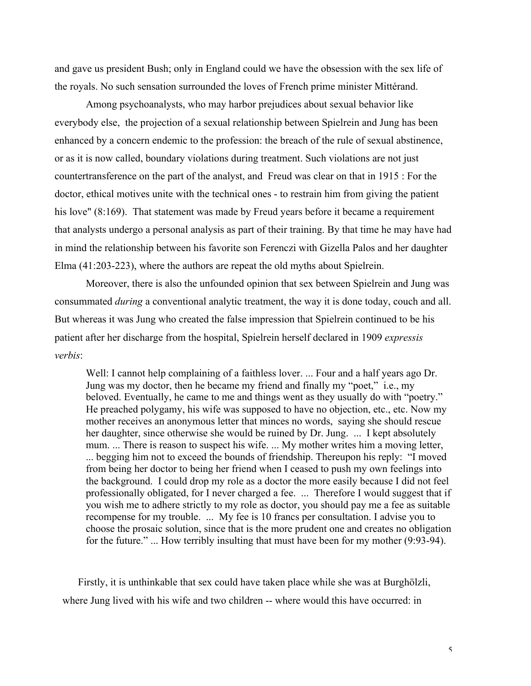and gave us president Bush; only in England could we have the obsession with the sex life of the royals. No such sensation surrounded the loves of French prime minister Mittérand.

Among psychoanalysts, who may harbor prejudices about sexual behavior like everybody else, the projection of a sexual relationship between Spielrein and Jung has been enhanced by a concern endemic to the profession: the breach of the rule of sexual abstinence, or as it is now called, boundary violations during treatment. Such violations are not just countertransference on the part of the analyst, and Freud was clear on that in 1915 : For the doctor, ethical motives unite with the technical ones - to restrain him from giving the patient his love" (8:169). That statement was made by Freud years before it became a requirement that analysts undergo a personal analysis as part of their training. By that time he may have had in mind the relationship between his favorite son Ferenczi with Gizella Palos and her daughter Elma (41:203-223), where the authors are repeat the old myths about Spielrein.

Moreover, there is also the unfounded opinion that sex between Spielrein and Jung was consummated *during* a conventional analytic treatment, the way it is done today, couch and all. But whereas it was Jung who created the false impression that Spielrein continued to be his patient after her discharge from the hospital, Spielrein herself declared in 1909 *expressis verbis*:

Well: I cannot help complaining of a faithless lover. ... Four and a half years ago Dr. Jung was my doctor, then he became my friend and finally my "poet," i.e., my beloved. Eventually, he came to me and things went as they usually do with "poetry." He preached polygamy, his wife was supposed to have no objection, etc., etc. Now my mother receives an anonymous letter that minces no words, saying she should rescue her daughter, since otherwise she would be ruined by Dr. Jung. ... I kept absolutely mum. ... There is reason to suspect his wife. ... My mother writes him a moving letter, ... begging him not to exceed the bounds of friendship. Thereupon his reply: "I moved from being her doctor to being her friend when I ceased to push my own feelings into the background. I could drop my role as a doctor the more easily because I did not feel professionally obligated, for I never charged a fee. ... Therefore I would suggest that if you wish me to adhere strictly to my role as doctor, you should pay me a fee as suitable recompense for my trouble. ... My fee is 10 francs per consultation. I advise you to choose the prosaic solution, since that is the more prudent one and creates no obligation for the future." ... How terribly insulting that must have been for my mother (9:93-94).

Firstly, it is unthinkable that sex could have taken place while she was at Burghölzli, where Jung lived with his wife and two children -- where would this have occurred: in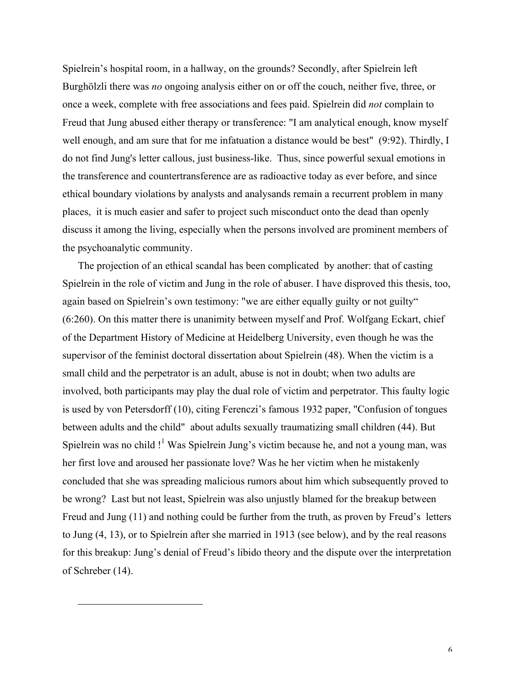Spielrein's hospital room, in a hallway, on the grounds? Secondly, after Spielrein left Burghölzli there was *no* ongoing analysis either on or off the couch, neither five, three, or once a week, complete with free associations and fees paid. Spielrein did *not* complain to Freud that Jung abused either therapy or transference: "I am analytical enough, know myself well enough, and am sure that for me infatuation a distance would be best" (9:92). Thirdly, I do not find Jung's letter callous, just business-like. Thus, since powerful sexual emotions in the transference and countertransference are as radioactive today as ever before, and since ethical boundary violations by analysts and analysands remain a recurrent problem in many places, it is much easier and safer to project such misconduct onto the dead than openly discuss it among the living, especially when the persons involved are prominent members of the psychoanalytic community.

The projection of an ethical scandal has been complicated by another: that of casting Spielrein in the role of victim and Jung in the role of abuser. I have disproved this thesis, too, again based on Spielrein's own testimony: "we are either equally guilty or not guilty" (6:260). On this matter there is unanimity between myself and Prof. Wolfgang Eckart, chief of the Department History of Medicine at Heidelberg University, even though he was the supervisor of the feminist doctoral dissertation about Spielrein (48). When the victim is a small child and the perpetrator is an adult, abuse is not in doubt; when two adults are involved, both participants may play the dual role of victim and perpetrator. This faulty logic is used by von Petersdorff (10), citing Ferenczi's famous 1932 paper, "Confusion of tongues between adults and the child" about adults sexually traumatizing small children (44). But Spielrein was no child!<sup>1</sup> Was Spielrein Jung's victim because he, and not a young man, was her first love and aroused her passionate love? Was he her victim when he mistakenly concluded that she was spreading malicious rumors about him which subsequently proved to be wrong? Last but not least, Spielrein was also unjustly blamed for the breakup between Freud and Jung (11) and nothing could be further from the truth, as proven by Freud's letters to Jung (4, 13), or to Spielrein after she married in 1913 (see below), and by the real reasons for this breakup: Jung's denial of Freud's libido theory and the dispute over the interpretation of Schreber (14).

 $\overline{a}$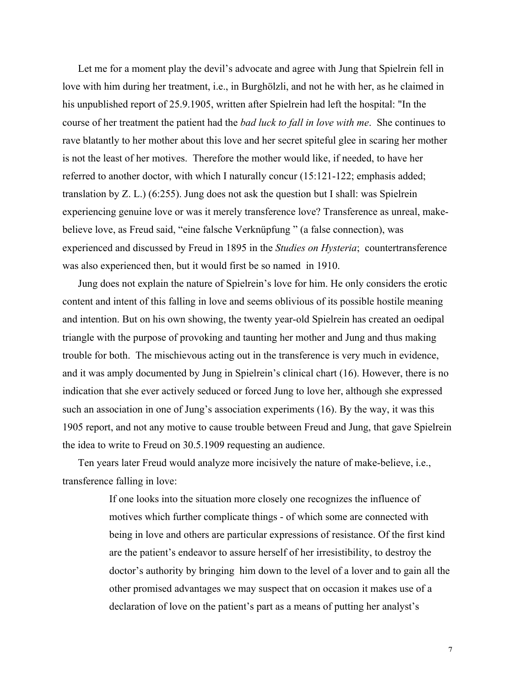Let me for a moment play the devil's advocate and agree with Jung that Spielrein fell in love with him during her treatment, i.e., in Burghölzli, and not he with her, as he claimed in his unpublished report of 25.9.1905, written after Spielrein had left the hospital: "In the course of her treatment the patient had the *bad luck to fall in love with me*. She continues to rave blatantly to her mother about this love and her secret spiteful glee in scaring her mother is not the least of her motives. Therefore the mother would like, if needed, to have her referred to another doctor, with which I naturally concur (15:121-122; emphasis added; translation by Z. L.) (6:255). Jung does not ask the question but I shall: was Spielrein experiencing genuine love or was it merely transference love? Transference as unreal, makebelieve love, as Freud said, "eine falsche Verknüpfung " (a false connection), was experienced and discussed by Freud in 1895 in the *Studies on Hysteria*; countertransference was also experienced then, but it would first be so named in 1910.

Jung does not explain the nature of Spielrein's love for him. He only considers the erotic content and intent of this falling in love and seems oblivious of its possible hostile meaning and intention. But on his own showing, the twenty year-old Spielrein has created an oedipal triangle with the purpose of provoking and taunting her mother and Jung and thus making trouble for both. The mischievous acting out in the transference is very much in evidence, and it was amply documented by Jung in Spielrein's clinical chart (16). However, there is no indication that she ever actively seduced or forced Jung to love her, although she expressed such an association in one of Jung's association experiments (16). By the way, it was this 1905 report, and not any motive to cause trouble between Freud and Jung, that gave Spielrein the idea to write to Freud on 30.5.1909 requesting an audience.

Ten years later Freud would analyze more incisively the nature of make-believe, i.e., transference falling in love:

> If one looks into the situation more closely one recognizes the influence of motives which further complicate things - of which some are connected with being in love and others are particular expressions of resistance. Of the first kind are the patient's endeavor to assure herself of her irresistibility, to destroy the doctor's authority by bringing him down to the level of a lover and to gain all the other promised advantages we may suspect that on occasion it makes use of a declaration of love on the patient's part as a means of putting her analyst's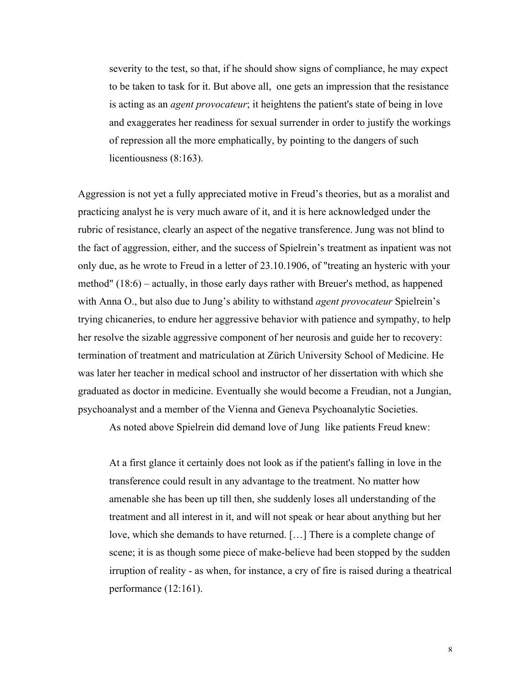severity to the test, so that, if he should show signs of compliance, he may expect to be taken to task for it. But above all, one gets an impression that the resistance is acting as an *agent provocateur*; it heightens the patient's state of being in love and exaggerates her readiness for sexual surrender in order to justify the workings of repression all the more emphatically, by pointing to the dangers of such licentiousness (8:163).

Aggression is not yet a fully appreciated motive in Freud's theories, but as a moralist and practicing analyst he is very much aware of it, and it is here acknowledged under the rubric of resistance, clearly an aspect of the negative transference. Jung was not blind to the fact of aggression, either, and the success of Spielrein's treatment as inpatient was not only due, as he wrote to Freud in a letter of 23.10.1906, of "treating an hysteric with your method" (18:6) – actually, in those early days rather with Breuer's method, as happened with Anna O., but also due to Jung's ability to withstand *agent provocateur* Spielrein's trying chicaneries, to endure her aggressive behavior with patience and sympathy, to help her resolve the sizable aggressive component of her neurosis and guide her to recovery: termination of treatment and matriculation at Zürich University School of Medicine. He was later her teacher in medical school and instructor of her dissertation with which she graduated as doctor in medicine. Eventually she would become a Freudian, not a Jungian, psychoanalyst and a member of the Vienna and Geneva Psychoanalytic Societies.

As noted above Spielrein did demand love of Jung like patients Freud knew:

At a first glance it certainly does not look as if the patient's falling in love in the transference could result in any advantage to the treatment. No matter how amenable she has been up till then, she suddenly loses all understanding of the treatment and all interest in it, and will not speak or hear about anything but her love, which she demands to have returned. […] There is a complete change of scene; it is as though some piece of make-believe had been stopped by the sudden irruption of reality - as when, for instance, a cry of fire is raised during a theatrical performance (12:161).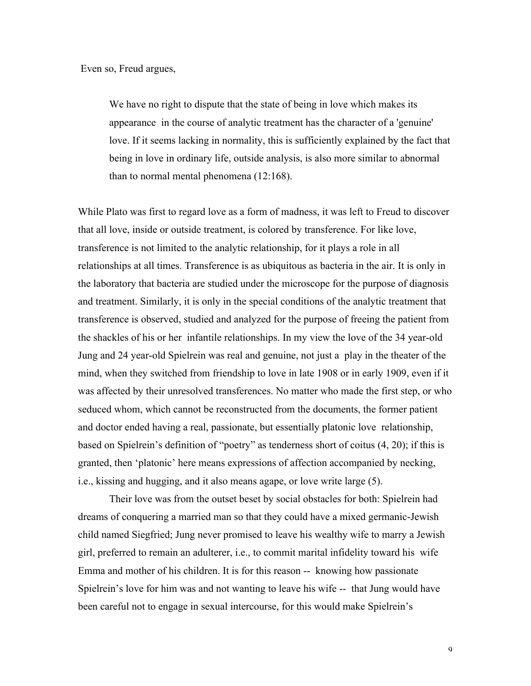We have no right to dispute that the state of being in love which makes its appearance in the course of analytic treatment has the character of a 'genuine' love. If it seems lacking in normality, this is sufficiently explained by the fact that being in love in ordinary life, outside analysis, is also more similar to abnormal than to normal mental phenomena (12:168).

While Plato was first to regard love as a form of madness, it was left to Freud to discover that all love, inside or outside treatment, is colored by transference. For like love, transference is not limited to the analytic relationship, for it plays a role in all relationships at all times. Transference is as ubiquitous as bacteria in the air. It is only in the laboratory that bacteria are studied under the microscope for the purpose of diagnosis and treatment. Similarly, it is only in the special conditions of the analytic treatment that transference is observed, studied and analyzed for the purpose of freeing the patient from the shackles of his or her infantile relationships. In my view the love of the 34 year-old Jung and 24 year-old Spielrein was real and genuine, not just a play in the theater of the mind, when they switched from friendship to love in late 1908 or in early 1909, even if it was affected by their unresolved transferences. No matter who made the first step, or who seduced whom, which cannot be reconstructed from the documents, the former patient and doctor ended having a real, passionate, but essentially platonic love relationship, based on Spielrein's definition of "poetry" as tenderness short of coitus (4, 20); if this is granted, then 'platonic' here means expressions of affection accompanied by necking, i.e., kissing and hugging, and it also means agape, or love write large (5).

Their love was from the outset beset by social obstacles for both: Spielrein had dreams of conquering a married man so that they could have a mixed germanic-Jewish child named Siegfried; Jung never promised to leave his wealthy wife to marry a Jewish girl, preferred to remain an adulterer, i.e., to commit marital infidelity toward his wife Emma and mother of his children. It is for this reason -- knowing how passionate Spielrein's love for him was and not wanting to leave his wife -- that Jung would have been careful not to engage in sexual intercourse, for this would make Spielrein's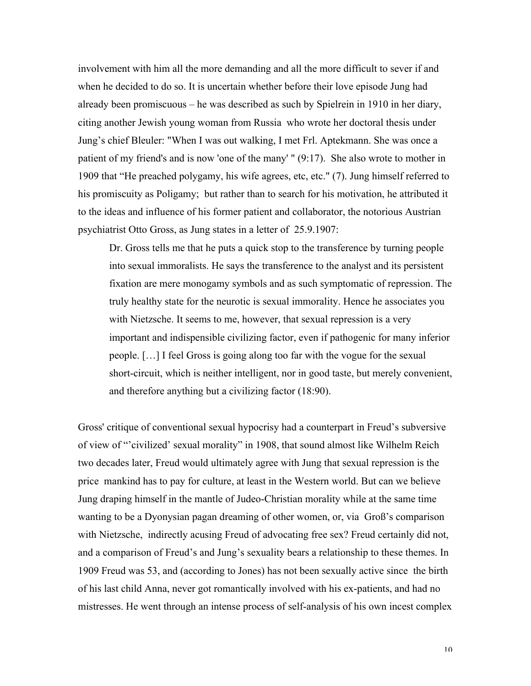involvement with him all the more demanding and all the more difficult to sever if and when he decided to do so. It is uncertain whether before their love episode Jung had already been promiscuous – he was described as such by Spielrein in 1910 in her diary, citing another Jewish young woman from Russia who wrote her doctoral thesis under Jung's chief Bleuler: "When I was out walking, I met Frl. Aptekmann. She was once a patient of my friend's and is now 'one of the many' " (9:17). She also wrote to mother in 1909 that "He preached polygamy, his wife agrees, etc, etc." (7). Jung himself referred to his promiscuity as Poligamy; but rather than to search for his motivation, he attributed it to the ideas and influence of his former patient and collaborator, the notorious Austrian psychiatrist Otto Gross, as Jung states in a letter of 25.9.1907:

Dr. Gross tells me that he puts a quick stop to the transference by turning people into sexual immoralists. He says the transference to the analyst and its persistent fixation are mere monogamy symbols and as such symptomatic of repression. The truly healthy state for the neurotic is sexual immorality. Hence he associates you with Nietzsche. It seems to me, however, that sexual repression is a very important and indispensible civilizing factor, even if pathogenic for many inferior people. […] I feel Gross is going along too far with the vogue for the sexual short-circuit, which is neither intelligent, nor in good taste, but merely convenient, and therefore anything but a civilizing factor (18:90).

Gross' critique of conventional sexual hypocrisy had a counterpart in Freud's subversive of view of "'civilized' sexual morality" in 1908, that sound almost like Wilhelm Reich two decades later, Freud would ultimately agree with Jung that sexual repression is the price mankind has to pay for culture, at least in the Western world. But can we believe Jung draping himself in the mantle of Judeo-Christian morality while at the same time wanting to be a Dyonysian pagan dreaming of other women, or, via Groß's comparison with Nietzsche, indirectly acusing Freud of advocating free sex? Freud certainly did not, and a comparison of Freud's and Jung's sexuality bears a relationship to these themes. In 1909 Freud was 53, and (according to Jones) has not been sexually active since the birth of his last child Anna, never got romantically involved with his ex-patients, and had no mistresses. He went through an intense process of self-analysis of his own incest complex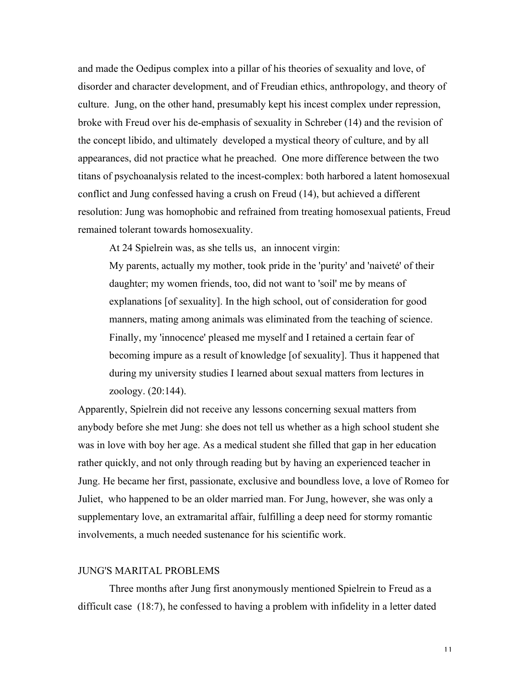and made the Oedipus complex into a pillar of his theories of sexuality and love, of disorder and character development, and of Freudian ethics, anthropology, and theory of culture. Jung, on the other hand, presumably kept his incest complex under repression, broke with Freud over his de-emphasis of sexuality in Schreber (14) and the revision of the concept libido, and ultimately developed a mystical theory of culture, and by all appearances, did not practice what he preached. One more difference between the two titans of psychoanalysis related to the incest-complex: both harbored a latent homosexual conflict and Jung confessed having a crush on Freud (14), but achieved a different resolution: Jung was homophobic and refrained from treating homosexual patients, Freud remained tolerant towards homosexuality.

At 24 Spielrein was, as she tells us, an innocent virgin:

My parents, actually my mother, took pride in the 'purity' and 'naiveté' of their daughter; my women friends, too, did not want to 'soil' me by means of explanations [of sexuality]. In the high school, out of consideration for good manners, mating among animals was eliminated from the teaching of science. Finally, my 'innocence' pleased me myself and I retained a certain fear of becoming impure as a result of knowledge [of sexuality]. Thus it happened that during my university studies I learned about sexual matters from lectures in zoology. (20:144).

Apparently, Spielrein did not receive any lessons concerning sexual matters from anybody before she met Jung: she does not tell us whether as a high school student she was in love with boy her age. As a medical student she filled that gap in her education rather quickly, and not only through reading but by having an experienced teacher in Jung. He became her first, passionate, exclusive and boundless love, a love of Romeo for Juliet, who happened to be an older married man. For Jung, however, she was only a supplementary love, an extramarital affair, fulfilling a deep need for stormy romantic involvements, a much needed sustenance for his scientific work.

## JUNG'S MARITAL PROBLEMS

Three months after Jung first anonymously mentioned Spielrein to Freud as a difficult case (18:7), he confessed to having a problem with infidelity in a letter dated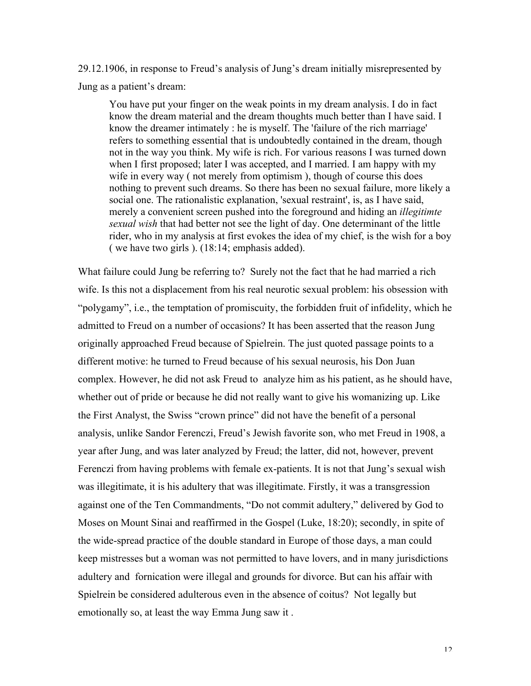29.12.1906, in response to Freud's analysis of Jung's dream initially misrepresented by Jung as a patient's dream:

You have put your finger on the weak points in my dream analysis. I do in fact know the dream material and the dream thoughts much better than I have said. I know the dreamer intimately : he is myself. The 'failure of the rich marriage' refers to something essential that is undoubtedly contained in the dream, though not in the way you think. My wife is rich. For various reasons I was turned down when I first proposed; later I was accepted, and I married. I am happy with my wife in every way ( not merely from optimism ), though of course this does nothing to prevent such dreams. So there has been no sexual failure, more likely a social one. The rationalistic explanation, 'sexual restraint', is, as I have said, merely a convenient screen pushed into the foreground and hiding an *illegitimte sexual wish* that had better not see the light of day. One determinant of the little rider, who in my analysis at first evokes the idea of my chief, is the wish for a boy ( we have two girls ). (18:14; emphasis added).

What failure could Jung be referring to? Surely not the fact that he had married a rich wife. Is this not a displacement from his real neurotic sexual problem: his obsession with "polygamy", i.e., the temptation of promiscuity, the forbidden fruit of infidelity, which he admitted to Freud on a number of occasions? It has been asserted that the reason Jung originally approached Freud because of Spielrein. The just quoted passage points to a different motive: he turned to Freud because of his sexual neurosis, his Don Juan complex. However, he did not ask Freud to analyze him as his patient, as he should have, whether out of pride or because he did not really want to give his womanizing up. Like the First Analyst, the Swiss "crown prince" did not have the benefit of a personal analysis, unlike Sandor Ferenczi, Freud's Jewish favorite son, who met Freud in 1908, a year after Jung, and was later analyzed by Freud; the latter, did not, however, prevent Ferenczi from having problems with female ex-patients. It is not that Jung's sexual wish was illegitimate, it is his adultery that was illegitimate. Firstly, it was a transgression against one of the Ten Commandments, "Do not commit adultery," delivered by God to Moses on Mount Sinai and reaffirmed in the Gospel (Luke, 18:20); secondly, in spite of the wide-spread practice of the double standard in Europe of those days, a man could keep mistresses but a woman was not permitted to have lovers, and in many jurisdictions adultery and fornication were illegal and grounds for divorce. But can his affair with Spielrein be considered adulterous even in the absence of coitus? Not legally but emotionally so, at least the way Emma Jung saw it .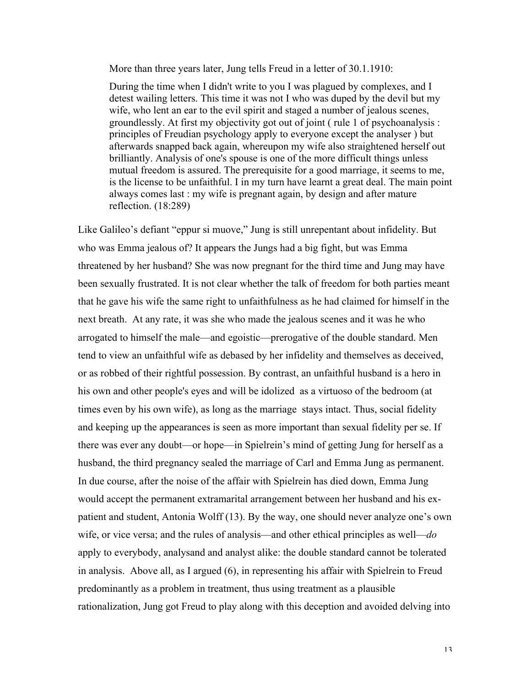More than three years later, Jung tells Freud in a letter of 30.1.1910:

During the time when I didn't write to you I was plagued by complexes, and I detest wailing letters. This time it was not I who was duped by the devil but my wife, who lent an ear to the evil spirit and staged a number of jealous scenes, groundlessly. At first my objectivity got out of joint ( rule 1 of psychoanalysis : principles of Freudian psychology apply to everyone except the analyser ) but afterwards snapped back again, whereupon my wife also straightened herself out brilliantly. Analysis of one's spouse is one of the more difficult things unless mutual freedom is assured. The prerequisite for a good marriage, it seems to me, is the license to be unfaithful. I in my turn have learnt a great deal. The main point always comes last : my wife is pregnant again, by design and after mature reflection. (18:289)

Like Galileo's defiant "eppur si muove," Jung is still unrepentant about infidelity. But who was Emma jealous of? It appears the Jungs had a big fight, but was Emma threatened by her husband? She was now pregnant for the third time and Jung may have been sexually frustrated. It is not clear whether the talk of freedom for both parties meant that he gave his wife the same right to unfaithfulness as he had claimed for himself in the next breath. At any rate, it was she who made the jealous scenes and it was he who arrogated to himself the male—and egoistic—prerogative of the double standard. Men tend to view an unfaithful wife as debased by her infidelity and themselves as deceived, or as robbed of their rightful possession. By contrast, an unfaithful husband is a hero in his own and other people's eyes and will be idolized as a virtuoso of the bedroom (at times even by his own wife), as long as the marriage stays intact. Thus, social fidelity and keeping up the appearances is seen as more important than sexual fidelity per se. If there was ever any doubt—or hope—in Spielrein's mind of getting Jung for herself as a husband, the third pregnancy sealed the marriage of Carl and Emma Jung as permanent. In due course, after the noise of the affair with Spielrein has died down, Emma Jung would accept the permanent extramarital arrangement between her husband and his expatient and student, Antonia Wolff (13). By the way, one should never analyze one's own wife, or vice versa; and the rules of analysis—and other ethical principles as well—*do*  apply to everybody, analysand and analyst alike: the double standard cannot be tolerated in analysis. Above all, as I argued (6), in representing his affair with Spielrein to Freud predominantly as a problem in treatment, thus using treatment as a plausible rationalization, Jung got Freud to play along with this deception and avoided delving into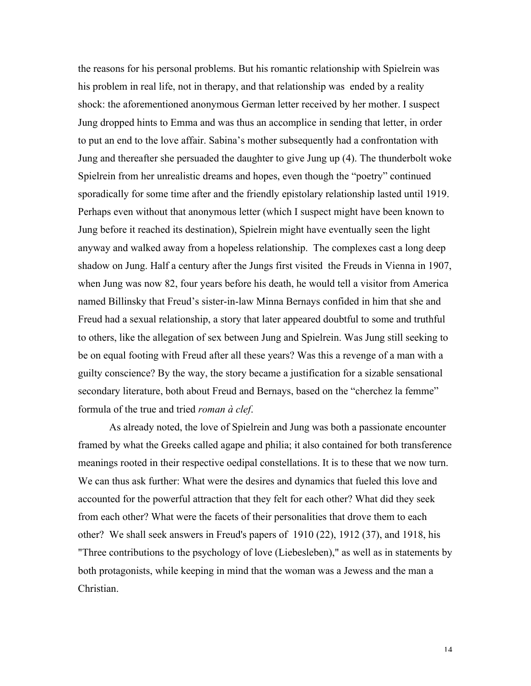the reasons for his personal problems. But his romantic relationship with Spielrein was his problem in real life, not in therapy, and that relationship was ended by a reality shock: the aforementioned anonymous German letter received by her mother. I suspect Jung dropped hints to Emma and was thus an accomplice in sending that letter, in order to put an end to the love affair. Sabina's mother subsequently had a confrontation with Jung and thereafter she persuaded the daughter to give Jung up (4). The thunderbolt woke Spielrein from her unrealistic dreams and hopes, even though the "poetry" continued sporadically for some time after and the friendly epistolary relationship lasted until 1919. Perhaps even without that anonymous letter (which I suspect might have been known to Jung before it reached its destination), Spielrein might have eventually seen the light anyway and walked away from a hopeless relationship. The complexes cast a long deep shadow on Jung. Half a century after the Jungs first visited the Freuds in Vienna in 1907, when Jung was now 82, four years before his death, he would tell a visitor from America named Billinsky that Freud's sister-in-law Minna Bernays confided in him that she and Freud had a sexual relationship, a story that later appeared doubtful to some and truthful to others, like the allegation of sex between Jung and Spielrein. Was Jung still seeking to be on equal footing with Freud after all these years? Was this a revenge of a man with a guilty conscience? By the way, the story became a justification for a sizable sensational secondary literature, both about Freud and Bernays, based on the "cherchez la femme" formula of the true and tried *roman à clef*.

As already noted, the love of Spielrein and Jung was both a passionate encounter framed by what the Greeks called agape and philia; it also contained for both transference meanings rooted in their respective oedipal constellations. It is to these that we now turn. We can thus ask further: What were the desires and dynamics that fueled this love and accounted for the powerful attraction that they felt for each other? What did they seek from each other? What were the facets of their personalities that drove them to each other? We shall seek answers in Freud's papers of 1910 (22), 1912 (37), and 1918, his "Three contributions to the psychology of love (Liebesleben)," as well as in statements by both protagonists, while keeping in mind that the woman was a Jewess and the man a Christian.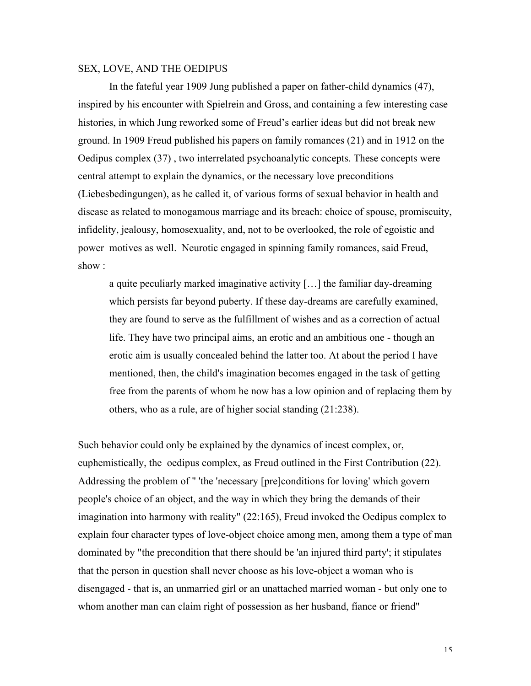### SEX, LOVE, AND THE OEDIPUS

In the fateful year 1909 Jung published a paper on father-child dynamics (47), inspired by his encounter with Spielrein and Gross, and containing a few interesting case histories, in which Jung reworked some of Freud's earlier ideas but did not break new ground. In 1909 Freud published his papers on family romances (21) and in 1912 on the Oedipus complex (37) , two interrelated psychoanalytic concepts. These concepts were central attempt to explain the dynamics, or the necessary love preconditions (Liebesbedingungen), as he called it, of various forms of sexual behavior in health and disease as related to monogamous marriage and its breach: choice of spouse, promiscuity, infidelity, jealousy, homosexuality, and, not to be overlooked, the role of egoistic and power motives as well. Neurotic engaged in spinning family romances, said Freud, show :

a quite peculiarly marked imaginative activity […] the familiar day-dreaming which persists far beyond puberty. If these day-dreams are carefully examined, they are found to serve as the fulfillment of wishes and as a correction of actual life. They have two principal aims, an erotic and an ambitious one - though an erotic aim is usually concealed behind the latter too. At about the period I have mentioned, then, the child's imagination becomes engaged in the task of getting free from the parents of whom he now has a low opinion and of replacing them by others, who as a rule, are of higher social standing (21:238).

Such behavior could only be explained by the dynamics of incest complex, or, euphemistically, the oedipus complex, as Freud outlined in the First Contribution (22). Addressing the problem of " 'the 'necessary [pre]conditions for loving' which govern people's choice of an object, and the way in which they bring the demands of their imagination into harmony with reality" (22:165), Freud invoked the Oedipus complex to explain four character types of love-object choice among men, among them a type of man dominated by "the precondition that there should be 'an injured third party'; it stipulates that the person in question shall never choose as his love-object a woman who is disengaged - that is, an unmarried girl or an unattached married woman - but only one to whom another man can claim right of possession as her husband, fiance or friend"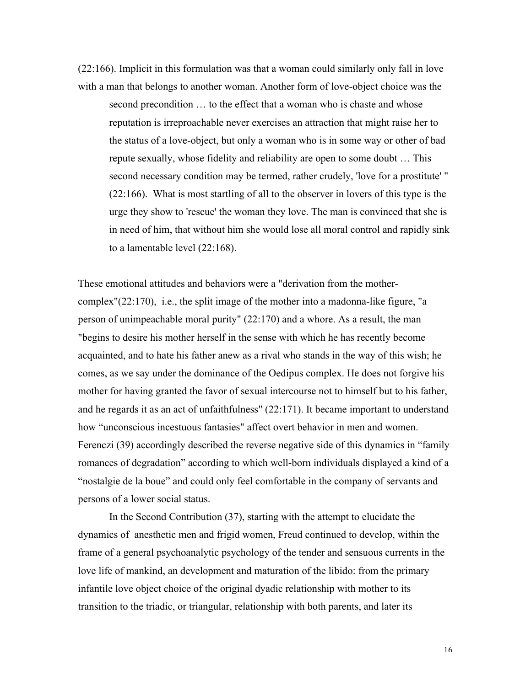(22:166). Implicit in this formulation was that a woman could similarly only fall in love with a man that belongs to another woman. Another form of love-object choice was the second precondition … to the effect that a woman who is chaste and whose reputation is irreproachable never exercises an attraction that might raise her to the status of a love-object, but only a woman who is in some way or other of bad repute sexually, whose fidelity and reliability are open to some doubt … This second necessary condition may be termed, rather crudely, 'love for a prostitute' " (22:166). What is most startling of all to the observer in lovers of this type is the urge they show to 'rescue' the woman they love. The man is convinced that she is in need of him, that without him she would lose all moral control and rapidly sink to a lamentable level (22:168).

These emotional attitudes and behaviors were a "derivation from the mothercomplex"(22:170), i.e., the split image of the mother into a madonna-like figure, "a person of unimpeachable moral purity" (22:170) and a whore. As a result, the man "begins to desire his mother herself in the sense with which he has recently become acquainted, and to hate his father anew as a rival who stands in the way of this wish; he comes, as we say under the dominance of the Oedipus complex. He does not forgive his mother for having granted the favor of sexual intercourse not to himself but to his father, and he regards it as an act of unfaithfulness" (22:171). It became important to understand how "unconscious incestuous fantasies" affect overt behavior in men and women. Ferenczi (39) accordingly described the reverse negative side of this dynamics in "family romances of degradation" according to which well-born individuals displayed a kind of a "nostalgie de la boue" and could only feel comfortable in the company of servants and persons of a lower social status.

In the Second Contribution (37), starting with the attempt to elucidate the dynamics of anesthetic men and frigid women, Freud continued to develop, within the frame of a general psychoanalytic psychology of the tender and sensuous currents in the love life of mankind, an development and maturation of the libido: from the primary infantile love object choice of the original dyadic relationship with mother to its transition to the triadic, or triangular, relationship with both parents, and later its

16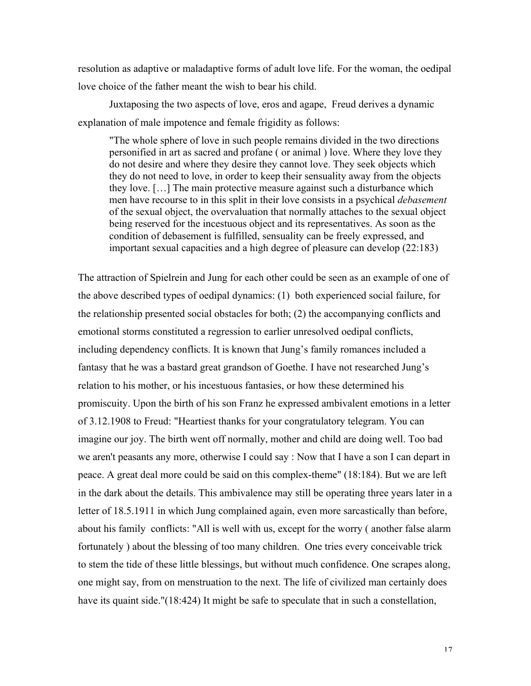resolution as adaptive or maladaptive forms of adult love life. For the woman, the oedipal love choice of the father meant the wish to bear his child.

Juxtaposing the two aspects of love, eros and agape, Freud derives a dynamic explanation of male impotence and female frigidity as follows:

"The whole sphere of love in such people remains divided in the two directions personified in art as sacred and profane ( or animal ) love. Where they love they do not desire and where they desire they cannot love. They seek objects which they do not need to love, in order to keep their sensuality away from the objects they love. […] The main protective measure against such a disturbance which men have recourse to in this split in their love consists in a psychical *debasement* of the sexual object, the overvaluation that normally attaches to the sexual object being reserved for the incestuous object and its representatives. As soon as the condition of debasement is fulfilled, sensuality can be freely expressed, and important sexual capacities and a high degree of pleasure can develop (22:183)

The attraction of Spielrein and Jung for each other could be seen as an example of one of the above described types of oedipal dynamics: (1) both experienced social failure, for the relationship presented social obstacles for both; (2) the accompanying conflicts and emotional storms constituted a regression to earlier unresolved oedipal conflicts, including dependency conflicts. It is known that Jung's family romances included a fantasy that he was a bastard great grandson of Goethe. I have not researched Jung's relation to his mother, or his incestuous fantasies, or how these determined his promiscuity. Upon the birth of his son Franz he expressed ambivalent emotions in a letter of 3.12.1908 to Freud: "Heartiest thanks for your congratulatory telegram. You can imagine our joy. The birth went off normally, mother and child are doing well. Too bad we aren't peasants any more, otherwise I could say : Now that I have a son I can depart in peace. A great deal more could be said on this complex-theme" (18:184). But we are left in the dark about the details. This ambivalence may still be operating three years later in a letter of 18.5.1911 in which Jung complained again, even more sarcastically than before, about his family conflicts: "All is well with us, except for the worry ( another false alarm fortunately ) about the blessing of too many children. One tries every conceivable trick to stem the tide of these little blessings, but without much confidence. One scrapes along, one might say, from on menstruation to the next. The life of civilized man certainly does have its quaint side."(18:424) It might be safe to speculate that in such a constellation,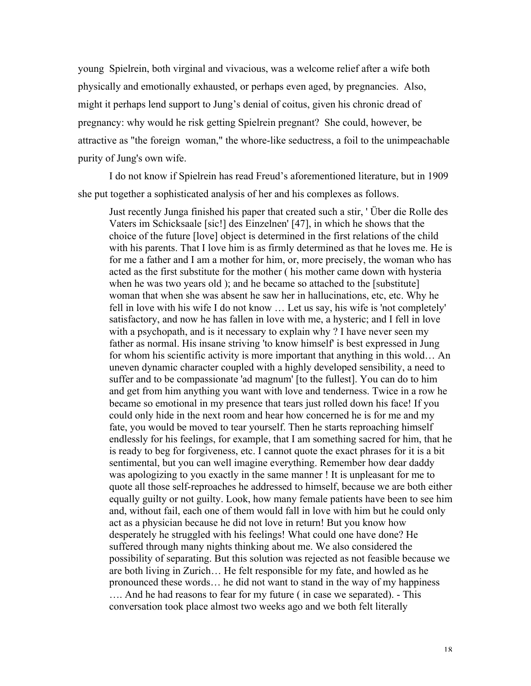young Spielrein, both virginal and vivacious, was a welcome relief after a wife both physically and emotionally exhausted, or perhaps even aged, by pregnancies. Also, might it perhaps lend support to Jung's denial of coitus, given his chronic dread of pregnancy: why would he risk getting Spielrein pregnant? She could, however, be attractive as "the foreign woman," the whore-like seductress, a foil to the unimpeachable purity of Jung's own wife.

I do not know if Spielrein has read Freud's aforementioned literature, but in 1909 she put together a sophisticated analysis of her and his complexes as follows.

Just recently Junga finished his paper that created such a stir, ' Über die Rolle des Vaters im Schicksaale [sic!] des Einzelnen' [47], in which he shows that the choice of the future [love] object is determined in the first relations of the child with his parents. That I love him is as firmly determined as that he loves me. He is for me a father and I am a mother for him, or, more precisely, the woman who has acted as the first substitute for the mother ( his mother came down with hysteria when he was two years old ); and he became so attached to the [substitute] woman that when she was absent he saw her in hallucinations, etc, etc. Why he fell in love with his wife I do not know … Let us say, his wife is 'not completely' satisfactory, and now he has fallen in love with me, a hysteric; and I fell in love with a psychopath, and is it necessary to explain why ? I have never seen my father as normal. His insane striving 'to know himself' is best expressed in Jung for whom his scientific activity is more important that anything in this wold… An uneven dynamic character coupled with a highly developed sensibility, a need to suffer and to be compassionate 'ad magnum' [to the fullest]. You can do to him and get from him anything you want with love and tenderness. Twice in a row he became so emotional in my presence that tears just rolled down his face! If you could only hide in the next room and hear how concerned he is for me and my fate, you would be moved to tear yourself. Then he starts reproaching himself endlessly for his feelings, for example, that I am something sacred for him, that he is ready to beg for forgiveness, etc. I cannot quote the exact phrases for it is a bit sentimental, but you can well imagine everything. Remember how dear daddy was apologizing to you exactly in the same manner ! It is unpleasant for me to quote all those self-reproaches he addressed to himself, because we are both either equally guilty or not guilty. Look, how many female patients have been to see him and, without fail, each one of them would fall in love with him but he could only act as a physician because he did not love in return! But you know how desperately he struggled with his feelings! What could one have done? He suffered through many nights thinking about me. We also considered the possibility of separating. But this solution was rejected as not feasible because we are both living in Zurich… He felt responsible for my fate, and howled as he pronounced these words… he did not want to stand in the way of my happiness …. And he had reasons to fear for my future ( in case we separated). - This conversation took place almost two weeks ago and we both felt literally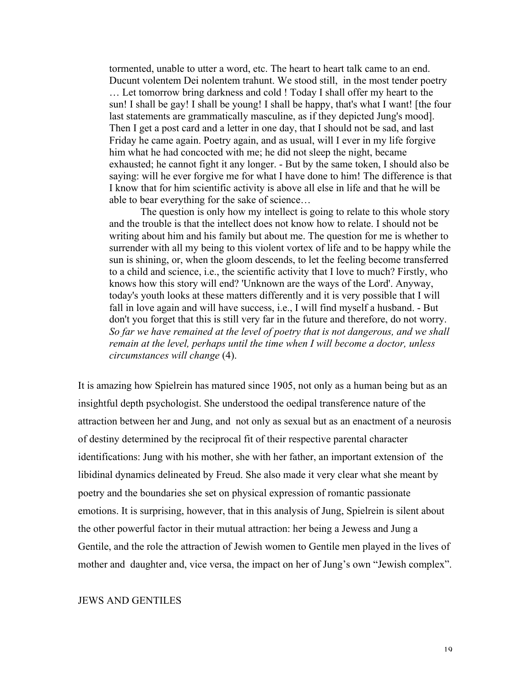tormented, unable to utter a word, etc. The heart to heart talk came to an end. Ducunt volentem Dei nolentem trahunt. We stood still, in the most tender poetry … Let tomorrow bring darkness and cold ! Today I shall offer my heart to the sun! I shall be gay! I shall be young! I shall be happy, that's what I want! [the four last statements are grammatically masculine, as if they depicted Jung's mood]. Then I get a post card and a letter in one day, that I should not be sad, and last Friday he came again. Poetry again, and as usual, will I ever in my life forgive him what he had concocted with me; he did not sleep the night, became exhausted; he cannot fight it any longer. - But by the same token, I should also be saying: will he ever forgive me for what I have done to him! The difference is that I know that for him scientific activity is above all else in life and that he will be able to bear everything for the sake of science…

The question is only how my intellect is going to relate to this whole story and the trouble is that the intellect does not know how to relate. I should not be writing about him and his family but about me. The question for me is whether to surrender with all my being to this violent vortex of life and to be happy while the sun is shining, or, when the gloom descends, to let the feeling become transferred to a child and science, i.e., the scientific activity that I love to much? Firstly, who knows how this story will end? 'Unknown are the ways of the Lord'. Anyway, today's youth looks at these matters differently and it is very possible that I will fall in love again and will have success, i.e., I will find myself a husband. - But don't you forget that this is still very far in the future and therefore, do not worry. *So far we have remained at the level of poetry that is not dangerous, and we shall remain at the level, perhaps until the time when I will become a doctor, unless circumstances will change* (4).

It is amazing how Spielrein has matured since 1905, not only as a human being but as an insightful depth psychologist. She understood the oedipal transference nature of the attraction between her and Jung, and not only as sexual but as an enactment of a neurosis of destiny determined by the reciprocal fit of their respective parental character identifications: Jung with his mother, she with her father, an important extension of the libidinal dynamics delineated by Freud. She also made it very clear what she meant by poetry and the boundaries she set on physical expression of romantic passionate emotions. It is surprising, however, that in this analysis of Jung, Spielrein is silent about the other powerful factor in their mutual attraction: her being a Jewess and Jung a Gentile, and the role the attraction of Jewish women to Gentile men played in the lives of mother and daughter and, vice versa, the impact on her of Jung's own "Jewish complex".

### JEWS AND GENTILES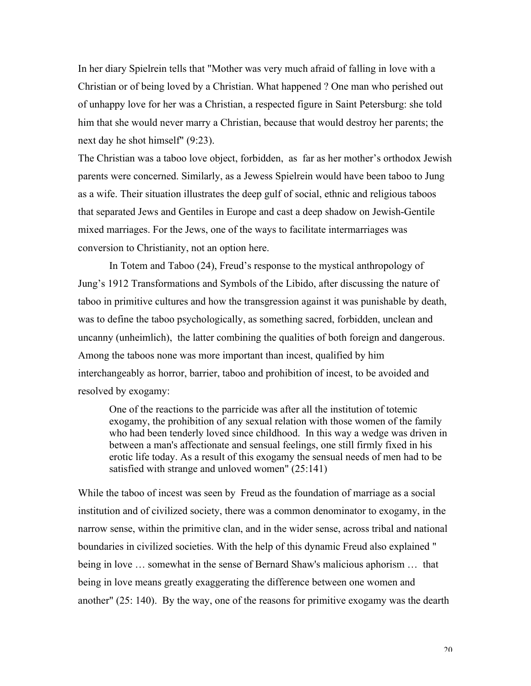In her diary Spielrein tells that "Mother was very much afraid of falling in love with a Christian or of being loved by a Christian. What happened ? One man who perished out of unhappy love for her was a Christian, a respected figure in Saint Petersburg: she told him that she would never marry a Christian, because that would destroy her parents; the next day he shot himself" (9:23).

The Christian was a taboo love object, forbidden, as far as her mother's orthodox Jewish parents were concerned. Similarly, as a Jewess Spielrein would have been taboo to Jung as a wife. Their situation illustrates the deep gulf of social, ethnic and religious taboos that separated Jews and Gentiles in Europe and cast a deep shadow on Jewish-Gentile mixed marriages. For the Jews, one of the ways to facilitate intermarriages was conversion to Christianity, not an option here.

In Totem and Taboo (24), Freud's response to the mystical anthropology of Jung's 1912 Transformations and Symbols of the Libido, after discussing the nature of taboo in primitive cultures and how the transgression against it was punishable by death, was to define the taboo psychologically, as something sacred, forbidden, unclean and uncanny (unheimlich), the latter combining the qualities of both foreign and dangerous. Among the taboos none was more important than incest, qualified by him interchangeably as horror, barrier, taboo and prohibition of incest, to be avoided and resolved by exogamy:

One of the reactions to the parricide was after all the institution of totemic exogamy, the prohibition of any sexual relation with those women of the family who had been tenderly loved since childhood. In this way a wedge was driven in between a man's affectionate and sensual feelings, one still firmly fixed in his erotic life today. As a result of this exogamy the sensual needs of men had to be satisfied with strange and unloved women" (25:141)

While the taboo of incest was seen by Freud as the foundation of marriage as a social institution and of civilized society, there was a common denominator to exogamy, in the narrow sense, within the primitive clan, and in the wider sense, across tribal and national boundaries in civilized societies. With the help of this dynamic Freud also explained " being in love … somewhat in the sense of Bernard Shaw's malicious aphorism … that being in love means greatly exaggerating the difference between one women and another" (25: 140). By the way, one of the reasons for primitive exogamy was the dearth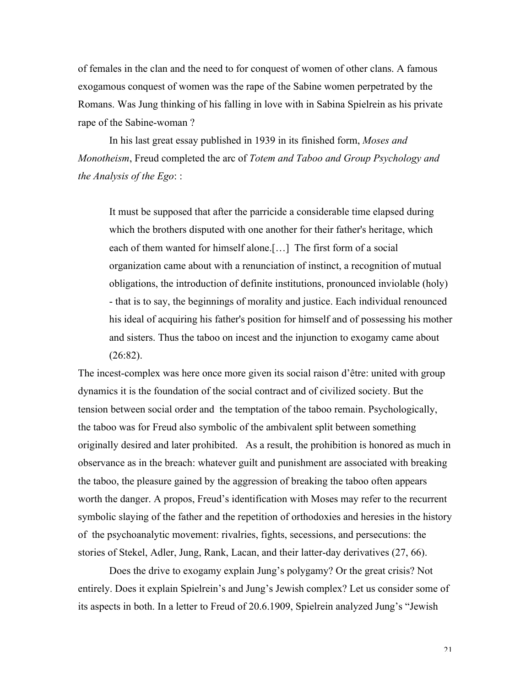of females in the clan and the need to for conquest of women of other clans. A famous exogamous conquest of women was the rape of the Sabine women perpetrated by the Romans. Was Jung thinking of his falling in love with in Sabina Spielrein as his private rape of the Sabine-woman ?

In his last great essay published in 1939 in its finished form, *Moses and Monotheism*, Freud completed the arc of *Totem and Taboo and Group Psychology and the Analysis of the Ego*: :

It must be supposed that after the parricide a considerable time elapsed during which the brothers disputed with one another for their father's heritage, which each of them wanted for himself alone.[…] The first form of a social organization came about with a renunciation of instinct, a recognition of mutual obligations, the introduction of definite institutions, pronounced inviolable (holy) - that is to say, the beginnings of morality and justice. Each individual renounced his ideal of acquiring his father's position for himself and of possessing his mother and sisters. Thus the taboo on incest and the injunction to exogamy came about  $(26:82)$ .

The incest-complex was here once more given its social raison d'être: united with group dynamics it is the foundation of the social contract and of civilized society. But the tension between social order and the temptation of the taboo remain. Psychologically, the taboo was for Freud also symbolic of the ambivalent split between something originally desired and later prohibited. As a result, the prohibition is honored as much in observance as in the breach: whatever guilt and punishment are associated with breaking the taboo, the pleasure gained by the aggression of breaking the taboo often appears worth the danger. A propos, Freud's identification with Moses may refer to the recurrent symbolic slaying of the father and the repetition of orthodoxies and heresies in the history of the psychoanalytic movement: rivalries, fights, secessions, and persecutions: the stories of Stekel, Adler, Jung, Rank, Lacan, and their latter-day derivatives (27, 66).

Does the drive to exogamy explain Jung's polygamy? Or the great crisis? Not entirely. Does it explain Spielrein's and Jung's Jewish complex? Let us consider some of its aspects in both. In a letter to Freud of 20.6.1909, Spielrein analyzed Jung's "Jewish

21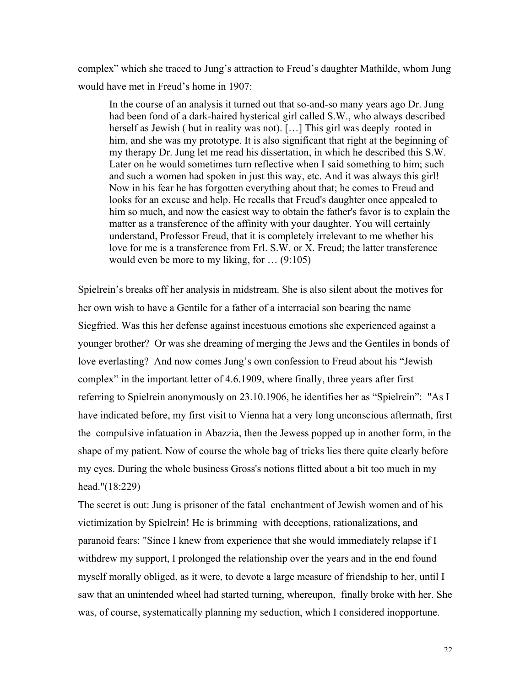complex" which she traced to Jung's attraction to Freud's daughter Mathilde, whom Jung would have met in Freud's home in 1907:

In the course of an analysis it turned out that so-and-so many years ago Dr. Jung had been fond of a dark-haired hysterical girl called S.W., who always described herself as Jewish ( but in reality was not). [...] This girl was deeply rooted in him, and she was my prototype. It is also significant that right at the beginning of my therapy Dr. Jung let me read his dissertation, in which he described this S.W. Later on he would sometimes turn reflective when I said something to him; such and such a women had spoken in just this way, etc. And it was always this girl! Now in his fear he has forgotten everything about that; he comes to Freud and looks for an excuse and help. He recalls that Freud's daughter once appealed to him so much, and now the easiest way to obtain the father's favor is to explain the matter as a transference of the affinity with your daughter. You will certainly understand, Professor Freud, that it is completely irrelevant to me whether his love for me is a transference from Frl. S.W. or X. Freud; the latter transference would even be more to my liking, for … (9:105)

Spielrein's breaks off her analysis in midstream. She is also silent about the motives for her own wish to have a Gentile for a father of a interracial son bearing the name Siegfried. Was this her defense against incestuous emotions she experienced against a younger brother? Or was she dreaming of merging the Jews and the Gentiles in bonds of love everlasting? And now comes Jung's own confession to Freud about his "Jewish complex" in the important letter of 4.6.1909, where finally, three years after first referring to Spielrein anonymously on 23.10.1906, he identifies her as "Spielrein": "As I have indicated before, my first visit to Vienna hat a very long unconscious aftermath, first the compulsive infatuation in Abazzia, then the Jewess popped up in another form, in the shape of my patient. Now of course the whole bag of tricks lies there quite clearly before my eyes. During the whole business Gross's notions flitted about a bit too much in my head."(18:229)

The secret is out: Jung is prisoner of the fatal enchantment of Jewish women and of his victimization by Spielrein! He is brimming with deceptions, rationalizations, and paranoid fears: "Since I knew from experience that she would immediately relapse if I withdrew my support, I prolonged the relationship over the years and in the end found myself morally obliged, as it were, to devote a large measure of friendship to her, until I saw that an unintended wheel had started turning, whereupon, finally broke with her. She was, of course, systematically planning my seduction, which I considered inopportune.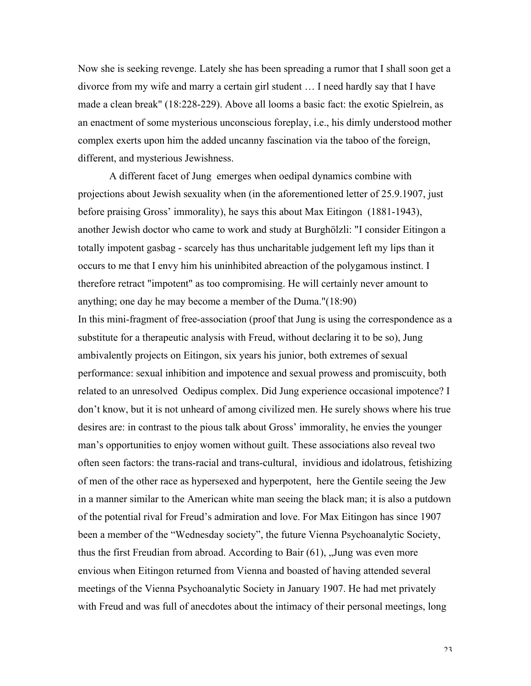Now she is seeking revenge. Lately she has been spreading a rumor that I shall soon get a divorce from my wife and marry a certain girl student … I need hardly say that I have made a clean break" (18:228-229). Above all looms a basic fact: the exotic Spielrein, as an enactment of some mysterious unconscious foreplay, i.e., his dimly understood mother complex exerts upon him the added uncanny fascination via the taboo of the foreign, different, and mysterious Jewishness.

A different facet of Jung emerges when oedipal dynamics combine with projections about Jewish sexuality when (in the aforementioned letter of 25.9.1907, just before praising Gross' immorality), he says this about Max Eitingon (1881-1943), another Jewish doctor who came to work and study at Burghölzli: "I consider Eitingon a totally impotent gasbag - scarcely has thus uncharitable judgement left my lips than it occurs to me that I envy him his uninhibited abreaction of the polygamous instinct. I therefore retract "impotent" as too compromising. He will certainly never amount to anything; one day he may become a member of the Duma."(18:90) In this mini-fragment of free-association (proof that Jung is using the correspondence as a substitute for a therapeutic analysis with Freud, without declaring it to be so), Jung ambivalently projects on Eitingon, six years his junior, both extremes of sexual performance: sexual inhibition and impotence and sexual prowess and promiscuity, both related to an unresolved Oedipus complex. Did Jung experience occasional impotence? I don't know, but it is not unheard of among civilized men. He surely shows where his true desires are: in contrast to the pious talk about Gross' immorality, he envies the younger man's opportunities to enjoy women without guilt. These associations also reveal two often seen factors: the trans-racial and trans-cultural, invidious and idolatrous, fetishizing of men of the other race as hypersexed and hyperpotent, here the Gentile seeing the Jew in a manner similar to the American white man seeing the black man; it is also a putdown of the potential rival for Freud's admiration and love. For Max Eitingon has since 1907 been a member of the "Wednesday society", the future Vienna Psychoanalytic Society, thus the first Freudian from abroad. According to Bair  $(61)$ , "Jung was even more envious when Eitingon returned from Vienna and boasted of having attended several meetings of the Vienna Psychoanalytic Society in January 1907. He had met privately with Freud and was full of anecdotes about the intimacy of their personal meetings, long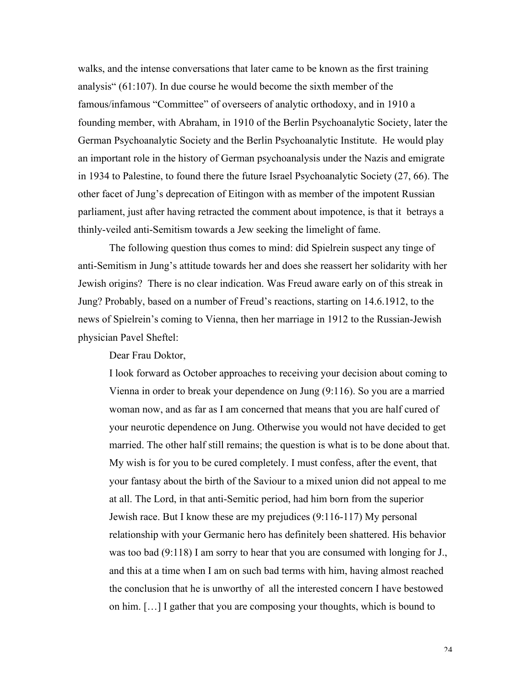walks, and the intense conversations that later came to be known as the first training analysis" (61:107). In due course he would become the sixth member of the famous/infamous "Committee" of overseers of analytic orthodoxy, and in 1910 a founding member, with Abraham, in 1910 of the Berlin Psychoanalytic Society, later the German Psychoanalytic Society and the Berlin Psychoanalytic Institute. He would play an important role in the history of German psychoanalysis under the Nazis and emigrate in 1934 to Palestine, to found there the future Israel Psychoanalytic Society (27, 66). The other facet of Jung's deprecation of Eitingon with as member of the impotent Russian parliament, just after having retracted the comment about impotence, is that it betrays a thinly-veiled anti-Semitism towards a Jew seeking the limelight of fame.

The following question thus comes to mind: did Spielrein suspect any tinge of anti-Semitism in Jung's attitude towards her and does she reassert her solidarity with her Jewish origins? There is no clear indication. Was Freud aware early on of this streak in Jung? Probably, based on a number of Freud's reactions, starting on 14.6.1912, to the news of Spielrein's coming to Vienna, then her marriage in 1912 to the Russian-Jewish physician Pavel Sheftel:

Dear Frau Doktor,

I look forward as October approaches to receiving your decision about coming to Vienna in order to break your dependence on Jung (9:116). So you are a married woman now, and as far as I am concerned that means that you are half cured of your neurotic dependence on Jung. Otherwise you would not have decided to get married. The other half still remains; the question is what is to be done about that. My wish is for you to be cured completely. I must confess, after the event, that your fantasy about the birth of the Saviour to a mixed union did not appeal to me at all. The Lord, in that anti-Semitic period, had him born from the superior Jewish race. But I know these are my prejudices (9:116-117) My personal relationship with your Germanic hero has definitely been shattered. His behavior was too bad (9:118) I am sorry to hear that you are consumed with longing for J., and this at a time when I am on such bad terms with him, having almost reached the conclusion that he is unworthy of all the interested concern I have bestowed on him. […] I gather that you are composing your thoughts, which is bound to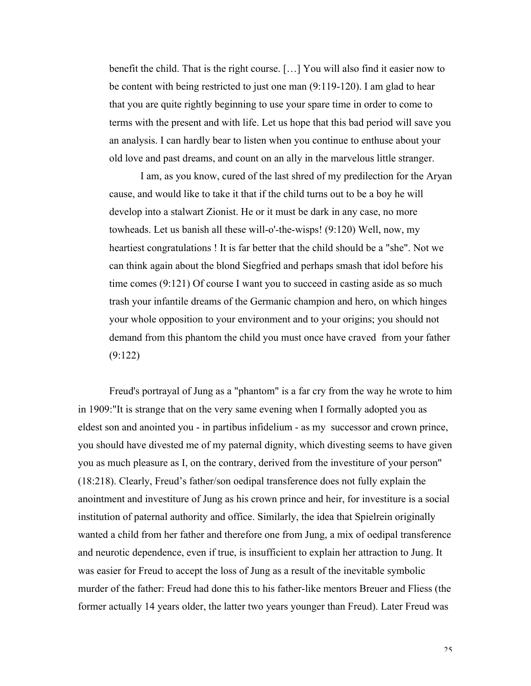benefit the child. That is the right course. […] You will also find it easier now to be content with being restricted to just one man (9:119-120). I am glad to hear that you are quite rightly beginning to use your spare time in order to come to terms with the present and with life. Let us hope that this bad period will save you an analysis. I can hardly bear to listen when you continue to enthuse about your old love and past dreams, and count on an ally in the marvelous little stranger.

I am, as you know, cured of the last shred of my predilection for the Aryan cause, and would like to take it that if the child turns out to be a boy he will develop into a stalwart Zionist. He or it must be dark in any case, no more towheads. Let us banish all these will-o'-the-wisps! (9:120) Well, now, my heartiest congratulations ! It is far better that the child should be a "she". Not we can think again about the blond Siegfried and perhaps smash that idol before his time comes (9:121) Of course I want you to succeed in casting aside as so much trash your infantile dreams of the Germanic champion and hero, on which hinges your whole opposition to your environment and to your origins; you should not demand from this phantom the child you must once have craved from your father (9:122)

Freud's portrayal of Jung as a "phantom" is a far cry from the way he wrote to him in 1909:"It is strange that on the very same evening when I formally adopted you as eldest son and anointed you - in partibus infidelium - as my successor and crown prince, you should have divested me of my paternal dignity, which divesting seems to have given you as much pleasure as I, on the contrary, derived from the investiture of your person" (18:218). Clearly, Freud's father/son oedipal transference does not fully explain the anointment and investiture of Jung as his crown prince and heir, for investiture is a social institution of paternal authority and office. Similarly, the idea that Spielrein originally wanted a child from her father and therefore one from Jung, a mix of oedipal transference and neurotic dependence, even if true, is insufficient to explain her attraction to Jung. It was easier for Freud to accept the loss of Jung as a result of the inevitable symbolic murder of the father: Freud had done this to his father-like mentors Breuer and Fliess (the former actually 14 years older, the latter two years younger than Freud). Later Freud was

 $25$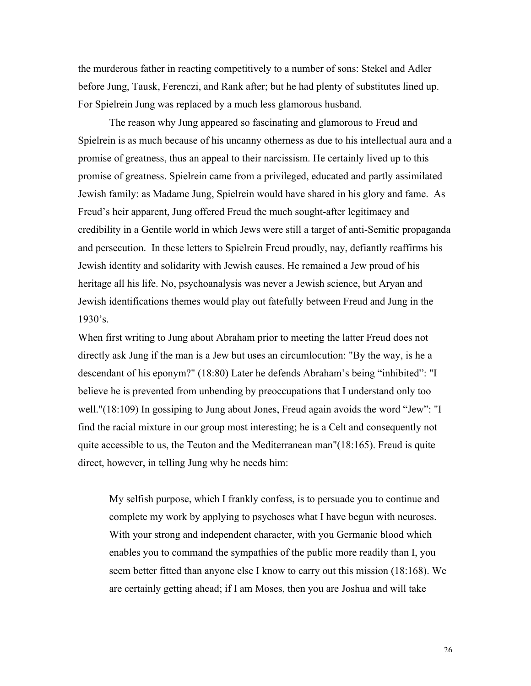the murderous father in reacting competitively to a number of sons: Stekel and Adler before Jung, Tausk, Ferenczi, and Rank after; but he had plenty of substitutes lined up. For Spielrein Jung was replaced by a much less glamorous husband.

The reason why Jung appeared so fascinating and glamorous to Freud and Spielrein is as much because of his uncanny otherness as due to his intellectual aura and a promise of greatness, thus an appeal to their narcissism. He certainly lived up to this promise of greatness. Spielrein came from a privileged, educated and partly assimilated Jewish family: as Madame Jung, Spielrein would have shared in his glory and fame. As Freud's heir apparent, Jung offered Freud the much sought-after legitimacy and credibility in a Gentile world in which Jews were still a target of anti-Semitic propaganda and persecution. In these letters to Spielrein Freud proudly, nay, defiantly reaffirms his Jewish identity and solidarity with Jewish causes. He remained a Jew proud of his heritage all his life. No, psychoanalysis was never a Jewish science, but Aryan and Jewish identifications themes would play out fatefully between Freud and Jung in the 1930's.

When first writing to Jung about Abraham prior to meeting the latter Freud does not directly ask Jung if the man is a Jew but uses an circumlocution: "By the way, is he a descendant of his eponym?" (18:80) Later he defends Abraham's being "inhibited": "I believe he is prevented from unbending by preoccupations that I understand only too well."(18:109) In gossiping to Jung about Jones, Freud again avoids the word "Jew": "I find the racial mixture in our group most interesting; he is a Celt and consequently not quite accessible to us, the Teuton and the Mediterranean man"(18:165). Freud is quite direct, however, in telling Jung why he needs him:

My selfish purpose, which I frankly confess, is to persuade you to continue and complete my work by applying to psychoses what I have begun with neuroses. With your strong and independent character, with you Germanic blood which enables you to command the sympathies of the public more readily than I, you seem better fitted than anyone else I know to carry out this mission (18:168). We are certainly getting ahead; if I am Moses, then you are Joshua and will take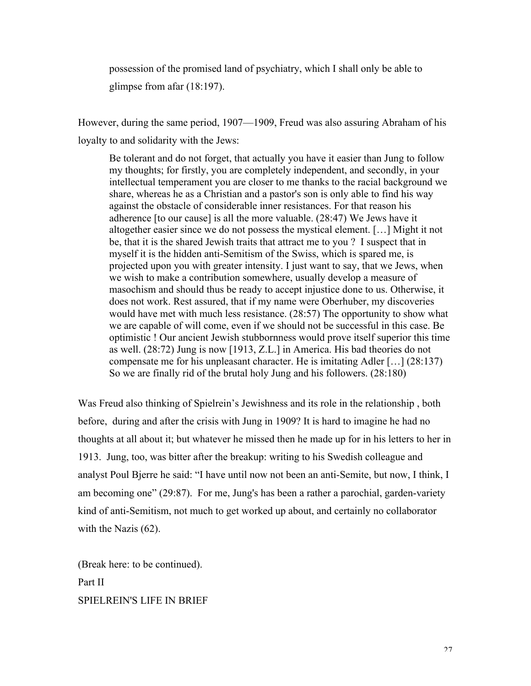possession of the promised land of psychiatry, which I shall only be able to glimpse from afar (18:197).

However, during the same period, 1907—1909, Freud was also assuring Abraham of his loyalty to and solidarity with the Jews:

Be tolerant and do not forget, that actually you have it easier than Jung to follow my thoughts; for firstly, you are completely independent, and secondly, in your intellectual temperament you are closer to me thanks to the racial background we share, whereas he as a Christian and a pastor's son is only able to find his way against the obstacle of considerable inner resistances. For that reason his adherence [to our cause] is all the more valuable. (28:47) We Jews have it altogether easier since we do not possess the mystical element. […] Might it not be, that it is the shared Jewish traits that attract me to you ? I suspect that in myself it is the hidden anti-Semitism of the Swiss, which is spared me, is projected upon you with greater intensity. I just want to say, that we Jews, when we wish to make a contribution somewhere, usually develop a measure of masochism and should thus be ready to accept injustice done to us. Otherwise, it does not work. Rest assured, that if my name were Oberhuber, my discoveries would have met with much less resistance. (28:57) The opportunity to show what we are capable of will come, even if we should not be successful in this case. Be optimistic ! Our ancient Jewish stubbornness would prove itself superior this time as well. (28:72) Jung is now [1913, Z.L.] in America. His bad theories do not compensate me for his unpleasant character. He is imitating Adler […] (28:137) So we are finally rid of the brutal holy Jung and his followers. (28:180)

Was Freud also thinking of Spielrein's Jewishness and its role in the relationship , both before, during and after the crisis with Jung in 1909? It is hard to imagine he had no thoughts at all about it; but whatever he missed then he made up for in his letters to her in 1913. Jung, too, was bitter after the breakup: writing to his Swedish colleague and analyst Poul Bjerre he said: "I have until now not been an anti-Semite, but now, I think, I am becoming one" (29:87). For me, Jung's has been a rather a parochial, garden-variety kind of anti-Semitism, not much to get worked up about, and certainly no collaborator with the Nazis (62).

(Break here: to be continued). Part II SPIELREIN'S LIFE IN BRIEF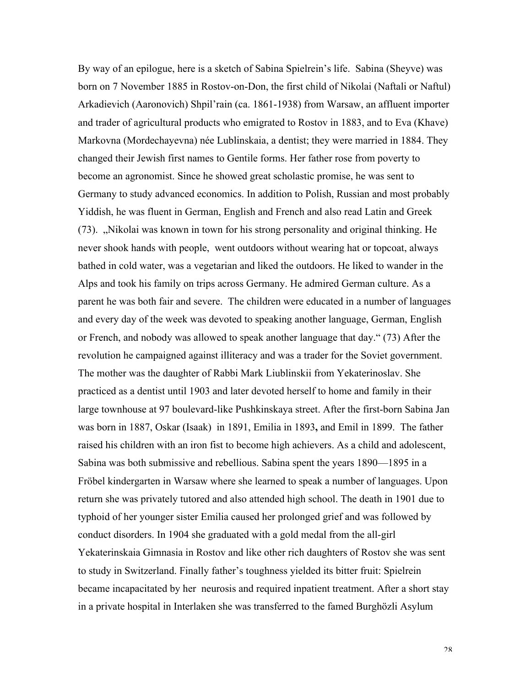By way of an epilogue, here is a sketch of Sabina Spielrein's life. Sabina (Sheyve) was born on 7 November 1885 in Rostov-on-Don, the first child of Nikolai (Naftali or Naftul) Arkadievich (Aaronovich) Shpil'rain (ca. 1861-1938) from Warsaw, an affluent importer and trader of agricultural products who emigrated to Rostov in 1883, and to Eva (Khave) Markovna (Mordechayevna) née Lublinskaia, a dentist; they were married in 1884. They changed their Jewish first names to Gentile forms. Her father rose from poverty to become an agronomist. Since he showed great scholastic promise, he was sent to Germany to study advanced economics. In addition to Polish, Russian and most probably Yiddish, he was fluent in German, English and French and also read Latin and Greek (73). "Nikolai was known in town for his strong personality and original thinking. He never shook hands with people, went outdoors without wearing hat or topcoat, always bathed in cold water, was a vegetarian and liked the outdoors. He liked to wander in the Alps and took his family on trips across Germany. He admired German culture. As a parent he was both fair and severe. The children were educated in a number of languages and every day of the week was devoted to speaking another language, German, English or French, and nobody was allowed to speak another language that day." (73) After the revolution he campaigned against illiteracy and was a trader for the Soviet government. The mother was the daughter of Rabbi Mark Liublinskii from Yekaterinoslav. She practiced as a dentist until 1903 and later devoted herself to home and family in their large townhouse at 97 boulevard-like Pushkinskaya street. After the first-born Sabina Jan was born in 1887, Oskar (Isaak) in 1891, Emilia in 1893**,** and Emil in 1899.The father raised his children with an iron fist to become high achievers. As a child and adolescent, Sabina was both submissive and rebellious. Sabina spent the years 1890—1895 in a Fröbel kindergarten in Warsaw where she learned to speak a number of languages. Upon return she was privately tutored and also attended high school. The death in 1901 due to typhoid of her younger sister Emilia caused her prolonged grief and was followed by conduct disorders. In 1904 she graduated with a gold medal from the all-girl Yekaterinskaia Gimnasia in Rostov and like other rich daughters of Rostov she was sent to study in Switzerland. Finally father's toughness yielded its bitter fruit: Spielrein became incapacitated by her neurosis and required inpatient treatment. After a short stay in a private hospital in Interlaken she was transferred to the famed Burghözli Asylum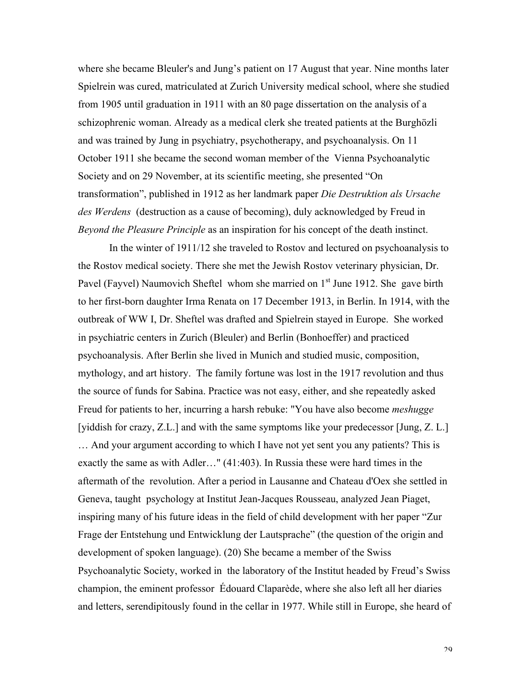where she became Bleuler's and Jung's patient on 17 August that year. Nine months later Spielrein was cured, matriculated at Zurich University medical school, where she studied from 1905 until graduation in 1911 with an 80 page dissertation on the analysis of a schizophrenic woman. Already as a medical clerk she treated patients at the Burghözli and was trained by Jung in psychiatry, psychotherapy, and psychoanalysis. On 11 October 1911 she became the second woman member of the Vienna Psychoanalytic Society and on 29 November, at its scientific meeting, she presented "On transformation", published in 1912 as her landmark paper *Die Destruktion als Ursache des Werdens* (destruction as a cause of becoming), duly acknowledged by Freud in *Beyond the Pleasure Principle* as an inspiration for his concept of the death instinct.

In the winter of 1911/12 she traveled to Rostov and lectured on psychoanalysis to the Rostov medical society. There she met the Jewish Rostov veterinary physician, Dr. Pavel (Fayvel) Naumovich Sheftel whom she married on  $1<sup>st</sup>$  June 1912. She gave birth to her first-born daughter Irma Renata on 17 December 1913, in Berlin. In 1914, with the outbreak of WW I, Dr. Sheftel was drafted and Spielrein stayed in Europe. She worked in psychiatric centers in Zurich (Bleuler) and Berlin (Bonhoeffer) and practiced psychoanalysis. After Berlin she lived in Munich and studied music, composition, mythology, and art history. The family fortune was lost in the 1917 revolution and thus the source of funds for Sabina. Practice was not easy, either, and she repeatedly asked Freud for patients to her, incurring a harsh rebuke: "You have also become *meshugge* [yiddish for crazy, Z.L.] and with the same symptoms like your predecessor [Jung, Z. L.] … And your argument according to which I have not yet sent you any patients? This is exactly the same as with Adler…" (41:403). In Russia these were hard times in the aftermath of the revolution. After a period in Lausanne and Chateau d'Oex she settled in Geneva, taught psychology at Institut Jean-Jacques Rousseau, analyzed Jean Piaget, inspiring many of his future ideas in the field of child development with her paper "Zur Frage der Entstehung und Entwicklung der Lautsprache" (the question of the origin and development of spoken language). (20) She became a member of the Swiss Psychoanalytic Society, worked in the laboratory of the Institut headed by Freud's Swiss champion, the eminent professor Édouard Claparède, where she also left all her diaries and letters, serendipitously found in the cellar in 1977. While still in Europe, she heard of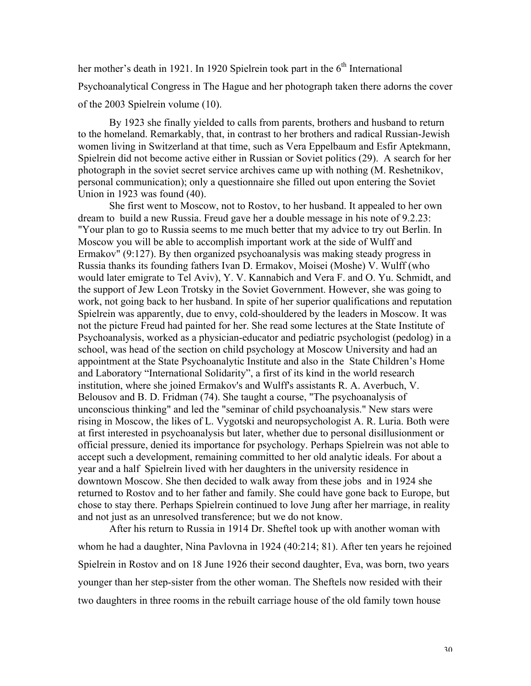her mother's death in 1921. In 1920 Spielrein took part in the  $6<sup>th</sup>$  International Psychoanalytical Congress in The Hague and her photograph taken there adorns the cover of the 2003 Spielrein volume (10).

By 1923 she finally yielded to calls from parents, brothers and husband to return to the homeland. Remarkably, that, in contrast to her brothers and radical Russian-Jewish women living in Switzerland at that time, such as Vera Eppelbaum and Esfir Aptekmann, Spielrein did not become active either in Russian or Soviet politics (29). A search for her photograph in the soviet secret service archives came up with nothing (M. Reshetnikov, personal communication); only a questionnaire she filled out upon entering the Soviet Union in 1923 was found (40).

She first went to Moscow, not to Rostov, to her husband. It appealed to her own dream to build a new Russia. Freud gave her a double message in his note of 9.2.23: "Your plan to go to Russia seems to me much better that my advice to try out Berlin. In Moscow you will be able to accomplish important work at the side of Wulff and Ermakov" (9:127). By then organized psychoanalysis was making steady progress in Russia thanks its founding fathers Ivan D. Ermakov, Moisei (Moshe) V. Wulff (who would later emigrate to Tel Aviv), Y. V. Kannabich and Vera F. and O. Yu. Schmidt, and the support of Jew Leon Trotsky in the Soviet Government. However, she was going to work, not going back to her husband. In spite of her superior qualifications and reputation Spielrein was apparently, due to envy, cold-shouldered by the leaders in Moscow. It was not the picture Freud had painted for her. She read some lectures at the State Institute of Psychoanalysis, worked as a physician-educator and pediatric psychologist (pedolog) in a school, was head of the section on child psychology at Moscow University and had an appointment at the State Psychoanalytic Institute and also in the State Children's Home and Laboratory "International Solidarity", a first of its kind in the world research institution, where she joined Ermakov's and Wulff's assistants R. A. Averbuch, V. Belousov and B. D. Fridman (74). She taught a course, "The psychoanalysis of unconscious thinking" and led the "seminar of child psychoanalysis." New stars were rising in Moscow, the likes of L. Vygotski and neuropsychologist A. R. Luria. Both were at first interested in psychoanalysis but later, whether due to personal disillusionment or official pressure, denied its importance for psychology. Perhaps Spielrein was not able to accept such a development, remaining committed to her old analytic ideals. For about a year and a half Spielrein lived with her daughters in the university residence in downtown Moscow. She then decided to walk away from these jobs and in 1924 she returned to Rostov and to her father and family. She could have gone back to Europe, but chose to stay there. Perhaps Spielrein continued to love Jung after her marriage, in reality and not just as an unresolved transference; but we do not know.

After his return to Russia in 1914 Dr. Sheftel took up with another woman with whom he had a daughter, Nina Pavlovna in 1924 (40:214; 81). After ten years he rejoined Spielrein in Rostov and on 18 June 1926 their second daughter, Eva, was born, two years younger than her step-sister from the other woman. The Sheftels now resided with their two daughters in three rooms in the rebuilt carriage house of the old family town house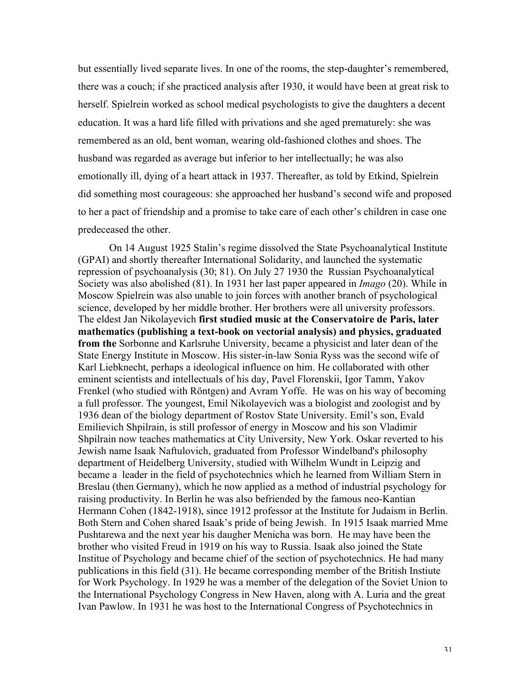but essentially lived separate lives. In one of the rooms, the step-daughter's remembered, there was a couch; if she practiced analysis after 1930, it would have been at great risk to herself. Spielrein worked as school medical psychologists to give the daughters a decent education. It was a hard life filled with privations and she aged prematurely: she was remembered as an old, bent woman, wearing old-fashioned clothes and shoes. The husband was regarded as average but inferior to her intellectually; he was also emotionally ill, dying of a heart attack in 1937. Thereafter, as told by Etkind, Spielrein did something most courageous: she approached her husband's second wife and proposed to her a pact of friendship and a promise to take care of each other's children in case one predeceased the other.

On 14 August 1925 Stalin's regime dissolved the State Psychoanalytical Institute (GPAI) and shortly thereafter International Solidarity, and launched the systematic repression of psychoanalysis (30; 81). On July 27 1930 the Russian Psychoanalytical Society was also abolished (81). In 1931 her last paper appeared in *Imago* (20). While in Moscow Spielrein was also unable to join forces with another branch of psychological science, developed by her middle brother. Her brothers were all university professors. The eldest Jan Nikolayevich **first studied music at the Conservatoire de Paris, later mathematics (publishing a text-book on vectorial analysis) and physics, graduated from the** Sorbonne and Karlsruhe University, became a physicist and later dean of the State Energy Institute in Moscow. His sister-in-law Sonia Ryss was the second wife of Karl Liebknecht, perhaps a ideological influence on him. He collaborated with other eminent scientists and intellectuals of his day, Pavel Florenskii, Igor Tamm, Yakov Frenkel (who studied with Röntgen) and Avram Yoffe. He was on his way of becoming a full professor. The youngest, Emil Nikolayevich was a biologist and zoologist and by 1936 dean of the biology department of Rostov State University. Emil's son, Evald Emilievich Shpilrain, is still professor of energy in Moscow and his son Vladimir Shpilrain now teaches mathematics at City University, New York. Oskar reverted to his Jewish name Isaak Naftulovich, graduated from Professor Windelband's philosophy department of Heidelberg University, studied with Wilhelm Wundt in Leipzig and became a leader in the field of psychotechnics which he learned from William Stern in Breslau (then Germany), which he now applied as a method of industrial psychology for raising productivity. In Berlin he was also befriended by the famous neo-Kantian Hermann Cohen (1842-1918), since 1912 professor at the Institute for Judaism in Berlin. Both Stern and Cohen shared Isaak's pride of being Jewish. In 1915 Isaak married Mme Pushtarewa and the next year his daugher Menicha was born. He may have been the brother who visited Freud in 1919 on his way to Russia. Isaak also joined the State Institue of Psychology and became chief of the section of psychotechnics. He had many publications in this field (31). He became corresponding member of the British Instiute for Work Psychology. In 1929 he was a member of the delegation of the Soviet Union to the International Psychology Congress in New Haven, along with A. Luria and the great Ivan Pawlow. In 1931 he was host to the International Congress of Psychotechnics in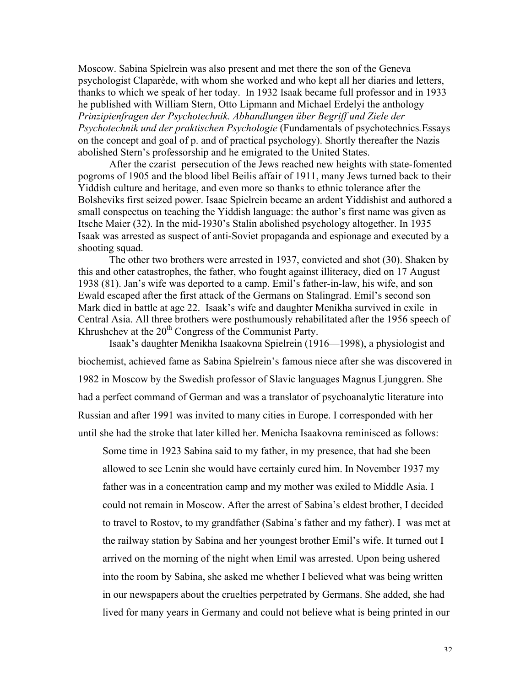Moscow. Sabina Spielrein was also present and met there the son of the Geneva psychologist Claparède, with whom she worked and who kept all her diaries and letters, thanks to which we speak of her today. In 1932 Isaak became full professor and in 1933 he published with William Stern, Otto Lipmann and Michael Erdelyi the anthology *Prinzipienfragen der Psychotechnik. Abhandlungen über Begriff und Ziele der Psychotechnik und der praktischen Psychologie* (Fundamentals of psychotechnics*.*Essays on the concept and goal of p. and of practical psychology). Shortly thereafter the Nazis abolished Stern's professorship and he emigrated to the United States.

After the czarist persecution of the Jews reached new heights with state-fomented pogroms of 1905 and the blood libel Beilis affair of 1911, many Jews turned back to their Yiddish culture and heritage, and even more so thanks to ethnic tolerance after the Bolsheviks first seized power. Isaac Spielrein became an ardent Yiddishist and authored a small conspectus on teaching the Yiddish language: the author's first name was given as Itsche Maier (32). In the mid-1930's Stalin abolished psychology altogether. In 1935 Isaak was arrested as suspect of anti-Soviet propaganda and espionage and executed by a shooting squad.

The other two brothers were arrested in 1937, convicted and shot (30). Shaken by this and other catastrophes, the father, who fought against illiteracy, died on 17 August 1938 (81). Jan's wife was deported to a camp. Emil's father-in-law, his wife, and son Ewald escaped after the first attack of the Germans on Stalingrad. Emil's second son Mark died in battle at age 22. Isaak's wife and daughter Menikha survived in exile in Central Asia. All three brothers were posthumously rehabilitated after the 1956 speech of Khrushchev at the  $20<sup>th</sup>$  Congress of the Communist Party.

Isaak's daughter Menikha Isaakovna Spielrein (1916—1998), a physiologist and biochemist, achieved fame as Sabina Spielrein's famous niece after she was discovered in 1982 in Moscow by the Swedish professor of Slavic languages Magnus Ljunggren. She had a perfect command of German and was a translator of psychoanalytic literature into Russian and after 1991 was invited to many cities in Europe. I corresponded with her until she had the stroke that later killed her. Menicha Isaakovna reminisced as follows:

Some time in 1923 Sabina said to my father, in my presence, that had she been allowed to see Lenin she would have certainly cured him. In November 1937 my father was in a concentration camp and my mother was exiled to Middle Asia. I could not remain in Moscow. After the arrest of Sabina's eldest brother, I decided to travel to Rostov, to my grandfather (Sabina's father and my father). I was met at the railway station by Sabina and her youngest brother Emil's wife. It turned out I arrived on the morning of the night when Emil was arrested. Upon being ushered into the room by Sabina, she asked me whether I believed what was being written in our newspapers about the cruelties perpetrated by Germans. She added, she had lived for many years in Germany and could not believe what is being printed in our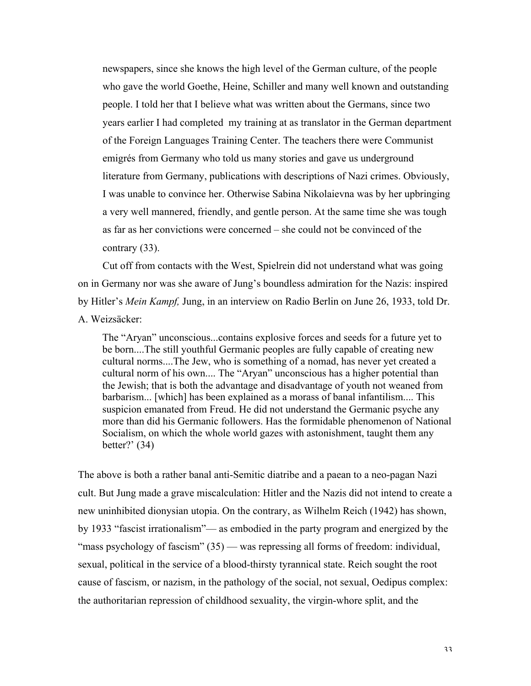newspapers, since she knows the high level of the German culture, of the people who gave the world Goethe, Heine, Schiller and many well known and outstanding people. I told her that I believe what was written about the Germans, since two years earlier I had completed my training at as translator in the German department of the Foreign Languages Training Center. The teachers there were Communist emigrés from Germany who told us many stories and gave us underground literature from Germany, publications with descriptions of Nazi crimes. Obviously, I was unable to convince her. Otherwise Sabina Nikolaievna was by her upbringing a very well mannered, friendly, and gentle person. At the same time she was tough as far as her convictions were concerned – she could not be convinced of the contrary (33).

Cut off from contacts with the West, Spielrein did not understand what was going on in Germany nor was she aware of Jung's boundless admiration for the Nazis: inspired by Hitler's *Mein Kampf,* Jung, in an interview on Radio Berlin on June 26, 1933, told Dr. A. Weizsäcker:

The "Aryan" unconscious...contains explosive forces and seeds for a future yet to be born....The still youthful Germanic peoples are fully capable of creating new cultural norms....The Jew, who is something of a nomad, has never yet created a cultural norm of his own.... The "Aryan" unconscious has a higher potential than the Jewish; that is both the advantage and disadvantage of youth not weaned from barbarism... [which] has been explained as a morass of banal infantilism.... This suspicion emanated from Freud. He did not understand the Germanic psyche any more than did his Germanic followers. Has the formidable phenomenon of National Socialism, on which the whole world gazes with astonishment, taught them any better?' (34)

The above is both a rather banal anti-Semitic diatribe and a paean to a neo-pagan Nazi cult. But Jung made a grave miscalculation: Hitler and the Nazis did not intend to create a new uninhibited dionysian utopia. On the contrary, as Wilhelm Reich (1942) has shown, by 1933 "fascist irrationalism"— as embodied in the party program and energized by the "mass psychology of fascism" (35) — was repressing all forms of freedom: individual, sexual, political in the service of a blood-thirsty tyrannical state. Reich sought the root cause of fascism, or nazism, in the pathology of the social, not sexual, Oedipus complex: the authoritarian repression of childhood sexuality, the virgin-whore split, and the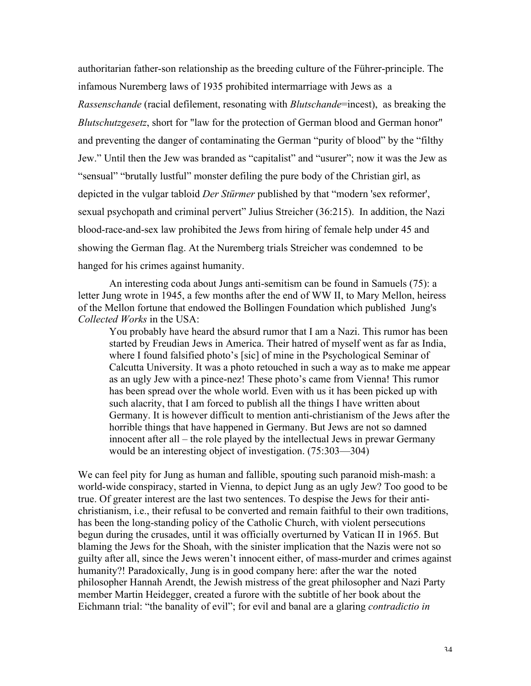authoritarian father-son relationship as the breeding culture of the Führer-principle. The infamous Nuremberg laws of 1935 prohibited intermarriage with Jews as a *Rassenschande* (racial defilement, resonating with *Blutschande*=incest), as breaking the *Blutschutzgesetz*, short for "law for the protection of German blood and German honor" and preventing the danger of contaminating the German "purity of blood" by the "filthy Jew." Until then the Jew was branded as "capitalist" and "usurer"; now it was the Jew as "sensual" "brutally lustful" monster defiling the pure body of the Christian girl, as depicted in the vulgar tabloid *Der Stürmer* published by that "modern 'sex reformer', sexual psychopath and criminal pervert" Julius Streicher (36:215). In addition, the Nazi blood-race-and-sex law prohibited the Jews from hiring of female help under 45 and showing the German flag. At the Nuremberg trials Streicher was condemned to be hanged for his crimes against humanity.

An interesting coda about Jungs anti-semitism can be found in Samuels (75): a letter Jung wrote in 1945, a few months after the end of WW II, to Mary Mellon, heiress of the Mellon fortune that endowed the Bollingen Foundation which published Jung's *Collected Works* in the USA:

You probably have heard the absurd rumor that I am a Nazi. This rumor has been started by Freudian Jews in America. Their hatred of myself went as far as India, where I found falsified photo's [sic] of mine in the Psychological Seminar of Calcutta University. It was a photo retouched in such a way as to make me appear as an ugly Jew with a pince-nez! These photo's came from Vienna! This rumor has been spread over the whole world. Even with us it has been picked up with such alacrity, that I am forced to publish all the things I have written about Germany. It is however difficult to mention anti-christianism of the Jews after the horrible things that have happened in Germany. But Jews are not so damned innocent after all – the role played by the intellectual Jews in prewar Germany would be an interesting object of investigation. (75:303—304)

We can feel pity for Jung as human and fallible, spouting such paranoid mish-mash: a world-wide conspiracy, started in Vienna, to depict Jung as an ugly Jew? Too good to be true. Of greater interest are the last two sentences. To despise the Jews for their antichristianism, i.e., their refusal to be converted and remain faithful to their own traditions, has been the long-standing policy of the Catholic Church, with violent persecutions begun during the crusades, until it was officially overturned by Vatican II in 1965. But blaming the Jews for the Shoah, with the sinister implication that the Nazis were not so guilty after all, since the Jews weren't innocent either, of mass-murder and crimes against humanity?! Paradoxically, Jung is in good company here: after the war the noted philosopher Hannah Arendt, the Jewish mistress of the great philosopher and Nazi Party member Martin Heidegger, created a furore with the subtitle of her book about the Eichmann trial: "the banality of evil"; for evil and banal are a glaring *contradictio in*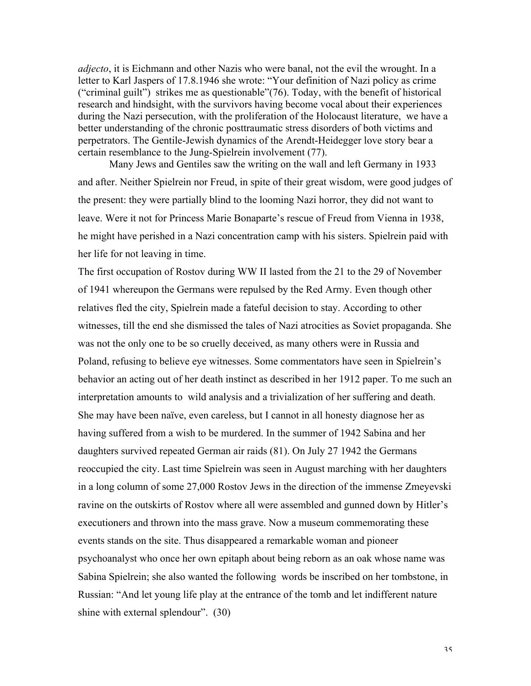*adjecto*, it is Eichmann and other Nazis who were banal, not the evil the wrought. In a letter to Karl Jaspers of 17.8.1946 she wrote: "Your definition of Nazi policy as crime ("criminal guilt") strikes me as questionable"(76). Today, with the benefit of historical research and hindsight, with the survivors having become vocal about their experiences during the Nazi persecution, with the proliferation of the Holocaust literature, we have a better understanding of the chronic posttraumatic stress disorders of both victims and perpetrators. The Gentile-Jewish dynamics of the Arendt-Heidegger love story bear a certain resemblance to the Jung-Spielrein involvement (77).

Many Jews and Gentiles saw the writing on the wall and left Germany in 1933 and after. Neither Spielrein nor Freud, in spite of their great wisdom, were good judges of the present: they were partially blind to the looming Nazi horror, they did not want to leave. Were it not for Princess Marie Bonaparte's rescue of Freud from Vienna in 1938, he might have perished in a Nazi concentration camp with his sisters. Spielrein paid with her life for not leaving in time.

The first occupation of Rostov during WW II lasted from the 21 to the 29 of November of 1941 whereupon the Germans were repulsed by the Red Army. Even though other relatives fled the city, Spielrein made a fateful decision to stay. According to other witnesses, till the end she dismissed the tales of Nazi atrocities as Soviet propaganda. She was not the only one to be so cruelly deceived, as many others were in Russia and Poland, refusing to believe eye witnesses. Some commentators have seen in Spielrein's behavior an acting out of her death instinct as described in her 1912 paper. To me such an interpretation amounts to wild analysis and a trivialization of her suffering and death. She may have been naïve, even careless, but I cannot in all honesty diagnose her as having suffered from a wish to be murdered. In the summer of 1942 Sabina and her daughters survived repeated German air raids (81). On July 27 1942 the Germans reoccupied the city. Last time Spielrein was seen in August marching with her daughters in a long column of some 27,000 Rostov Jews in the direction of the immense Zmeyevski ravine on the outskirts of Rostov where all were assembled and gunned down by Hitler's executioners and thrown into the mass grave. Now a museum commemorating these events stands on the site. Thus disappeared a remarkable woman and pioneer psychoanalyst who once her own epitaph about being reborn as an oak whose name was Sabina Spielrein; she also wanted the following words be inscribed on her tombstone, in Russian: "And let young life play at the entrance of the tomb and let indifferent nature shine with external splendour". (30)

35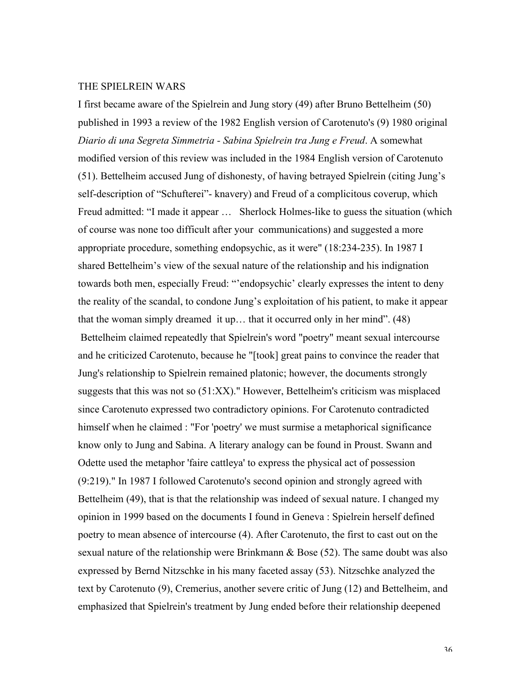#### THE SPIELREIN WARS

I first became aware of the Spielrein and Jung story (49) after Bruno Bettelheim (50) published in 1993 a review of the 1982 English version of Carotenuto's (9) 1980 original *Diario di una Segreta Simmetria - Sabina Spielrein tra Jung e Freud*. A somewhat modified version of this review was included in the 1984 English version of Carotenuto (51). Bettelheim accused Jung of dishonesty, of having betrayed Spielrein (citing Jung's self-description of "Schufterei"- knavery) and Freud of a complicitous coverup, which Freud admitted: "I made it appear … Sherlock Holmes-like to guess the situation (which of course was none too difficult after your communications) and suggested a more appropriate procedure, something endopsychic, as it were" (18:234-235). In 1987 I shared Bettelheim's view of the sexual nature of the relationship and his indignation towards both men, especially Freud: "'endopsychic' clearly expresses the intent to deny the reality of the scandal, to condone Jung's exploitation of his patient, to make it appear that the woman simply dreamed it up… that it occurred only in her mind". (48) Bettelheim claimed repeatedly that Spielrein's word "poetry" meant sexual intercourse and he criticized Carotenuto, because he "[took] great pains to convince the reader that Jung's relationship to Spielrein remained platonic; however, the documents strongly suggests that this was not so (51:XX)." However, Bettelheim's criticism was misplaced since Carotenuto expressed two contradictory opinions. For Carotenuto contradicted himself when he claimed : "For 'poetry' we must surmise a metaphorical significance know only to Jung and Sabina. A literary analogy can be found in Proust. Swann and Odette used the metaphor 'faire cattleya' to express the physical act of possession (9:219)." In 1987 I followed Carotenuto's second opinion and strongly agreed with Bettelheim (49), that is that the relationship was indeed of sexual nature. I changed my opinion in 1999 based on the documents I found in Geneva : Spielrein herself defined poetry to mean absence of intercourse (4). After Carotenuto, the first to cast out on the sexual nature of the relationship were Brinkmann & Bose (52). The same doubt was also expressed by Bernd Nitzschke in his many faceted assay (53). Nitzschke analyzed the text by Carotenuto (9), Cremerius, another severe critic of Jung (12) and Bettelheim, and emphasized that Spielrein's treatment by Jung ended before their relationship deepened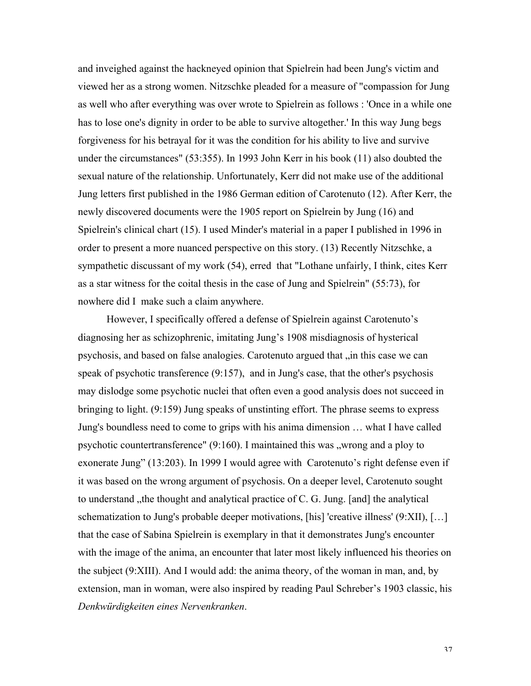and inveighed against the hackneyed opinion that Spielrein had been Jung's victim and viewed her as a strong women. Nitzschke pleaded for a measure of "compassion for Jung as well who after everything was over wrote to Spielrein as follows : 'Once in a while one has to lose one's dignity in order to be able to survive altogether.' In this way Jung begs forgiveness for his betrayal for it was the condition for his ability to live and survive under the circumstances" (53:355). In 1993 John Kerr in his book (11) also doubted the sexual nature of the relationship. Unfortunately, Kerr did not make use of the additional Jung letters first published in the 1986 German edition of Carotenuto (12). After Kerr, the newly discovered documents were the 1905 report on Spielrein by Jung (16) and Spielrein's clinical chart (15). I used Minder's material in a paper I published in 1996 in order to present a more nuanced perspective on this story. (13) Recently Nitzschke, a sympathetic discussant of my work (54), erred that "Lothane unfairly, I think, cites Kerr as a star witness for the coital thesis in the case of Jung and Spielrein" (55:73), for nowhere did I make such a claim anywhere.

However, I specifically offered a defense of Spielrein against Carotenuto's diagnosing her as schizophrenic, imitating Jung's 1908 misdiagnosis of hysterical psychosis, and based on false analogies. Carotenuto argued that  $\sin$  this case we can speak of psychotic transference (9:157), and in Jung's case, that the other's psychosis may dislodge some psychotic nuclei that often even a good analysis does not succeed in bringing to light. (9:159) Jung speaks of unstinting effort. The phrase seems to express Jung's boundless need to come to grips with his anima dimension … what I have called psychotic countertransference"  $(9:160)$ . I maintained this was "wrong and a ploy to exonerate Jung" (13:203). In 1999 I would agree with Carotenuto's right defense even if it was based on the wrong argument of psychosis. On a deeper level, Carotenuto sought to understand  $\mu$ , the thought and analytical practice of C. G. Jung. [and] the analytical schematization to Jung's probable deeper motivations, [his] 'creative illness' (9:XII), […] that the case of Sabina Spielrein is exemplary in that it demonstrates Jung's encounter with the image of the anima, an encounter that later most likely influenced his theories on the subject (9:XIII). And I would add: the anima theory, of the woman in man, and, by extension, man in woman, were also inspired by reading Paul Schreber's 1903 classic, his *Denkwürdigkeiten eines Nervenkranken*.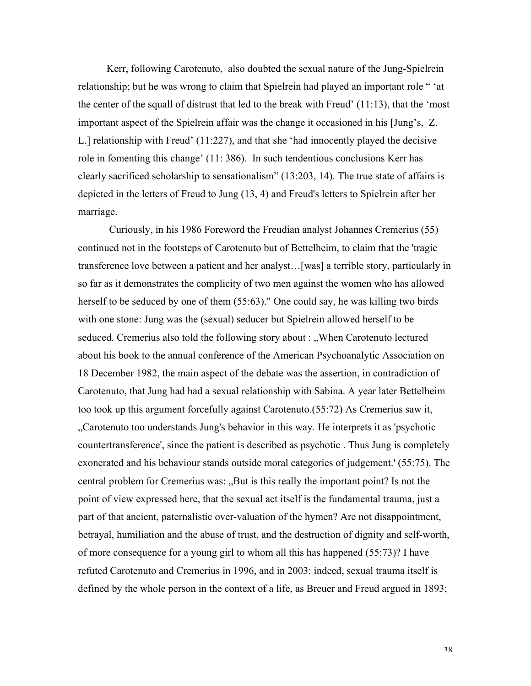Kerr, following Carotenuto, also doubted the sexual nature of the Jung-Spielrein relationship; but he was wrong to claim that Spielrein had played an important role " 'at the center of the squall of distrust that led to the break with Freud' (11:13), that the 'most important aspect of the Spielrein affair was the change it occasioned in his [Jung's, Z. L.] relationship with Freud' (11:227), and that she 'had innocently played the decisive role in fomenting this change' (11: 386). In such tendentious conclusions Kerr has clearly sacrificed scholarship to sensationalism" (13:203, 14). The true state of affairs is depicted in the letters of Freud to Jung (13, 4) and Freud's letters to Spielrein after her marriage.

Curiously, in his 1986 Foreword the Freudian analyst Johannes Cremerius (55) continued not in the footsteps of Carotenuto but of Bettelheim, to claim that the 'tragic transference love between a patient and her analyst…[was] a terrible story, particularly in so far as it demonstrates the complicity of two men against the women who has allowed herself to be seduced by one of them (55:63)." One could say, he was killing two birds with one stone: Jung was the (sexual) seducer but Spielrein allowed herself to be seduced. Cremerius also told the following story about : "When Carotenuto lectured about his book to the annual conference of the American Psychoanalytic Association on 18 December 1982, the main aspect of the debate was the assertion, in contradiction of Carotenuto, that Jung had had a sexual relationship with Sabina. A year later Bettelheim too took up this argument forcefully against Carotenuto.(55:72) As Cremerius saw it, "Carotenuto too understands Jung's behavior in this way. He interprets it as 'psychotic countertransference', since the patient is described as psychotic . Thus Jung is completely exonerated and his behaviour stands outside moral categories of judgement.' (55:75). The central problem for Cremerius was: "But is this really the important point? Is not the point of view expressed here, that the sexual act itself is the fundamental trauma, just a part of that ancient, paternalistic over-valuation of the hymen? Are not disappointment, betrayal, humiliation and the abuse of trust, and the destruction of dignity and self-worth, of more consequence for a young girl to whom all this has happened (55:73)? I have refuted Carotenuto and Cremerius in 1996, and in 2003: indeed, sexual trauma itself is defined by the whole person in the context of a life, as Breuer and Freud argued in 1893;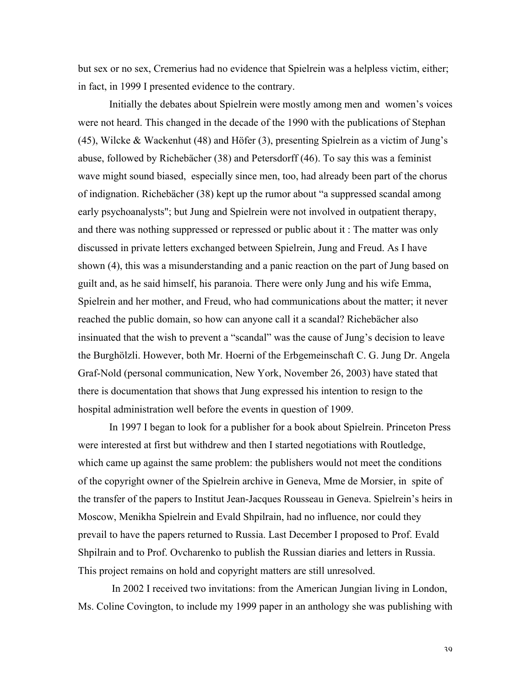but sex or no sex, Cremerius had no evidence that Spielrein was a helpless victim, either; in fact, in 1999 I presented evidence to the contrary.

Initially the debates about Spielrein were mostly among men and women's voices were not heard. This changed in the decade of the 1990 with the publications of Stephan (45), Wilcke & Wackenhut (48) and Höfer (3), presenting Spielrein as a victim of Jung's abuse, followed by Richebächer (38) and Petersdorff (46). To say this was a feminist wave might sound biased, especially since men, too, had already been part of the chorus of indignation. Richebächer (38) kept up the rumor about "a suppressed scandal among early psychoanalysts"; but Jung and Spielrein were not involved in outpatient therapy, and there was nothing suppressed or repressed or public about it : The matter was only discussed in private letters exchanged between Spielrein, Jung and Freud. As I have shown (4), this was a misunderstanding and a panic reaction on the part of Jung based on guilt and, as he said himself, his paranoia. There were only Jung and his wife Emma, Spielrein and her mother, and Freud, who had communications about the matter; it never reached the public domain, so how can anyone call it a scandal? Richebächer also insinuated that the wish to prevent a "scandal" was the cause of Jung's decision to leave the Burghölzli. However, both Mr. Hoerni of the Erbgemeinschaft C. G. Jung Dr. Angela Graf-Nold (personal communication, New York, November 26, 2003) have stated that there is documentation that shows that Jung expressed his intention to resign to the hospital administration well before the events in question of 1909.

In 1997 I began to look for a publisher for a book about Spielrein. Princeton Press were interested at first but withdrew and then I started negotiations with Routledge, which came up against the same problem: the publishers would not meet the conditions of the copyright owner of the Spielrein archive in Geneva, Mme de Morsier, in spite of the transfer of the papers to Institut Jean-Jacques Rousseau in Geneva. Spielrein's heirs in Moscow, Menikha Spielrein and Evald Shpilrain, had no influence, nor could they prevail to have the papers returned to Russia. Last December I proposed to Prof. Evald Shpilrain and to Prof. Ovcharenko to publish the Russian diaries and letters in Russia. This project remains on hold and copyright matters are still unresolved.

 In 2002 I received two invitations: from the American Jungian living in London, Ms. Coline Covington, to include my 1999 paper in an anthology she was publishing with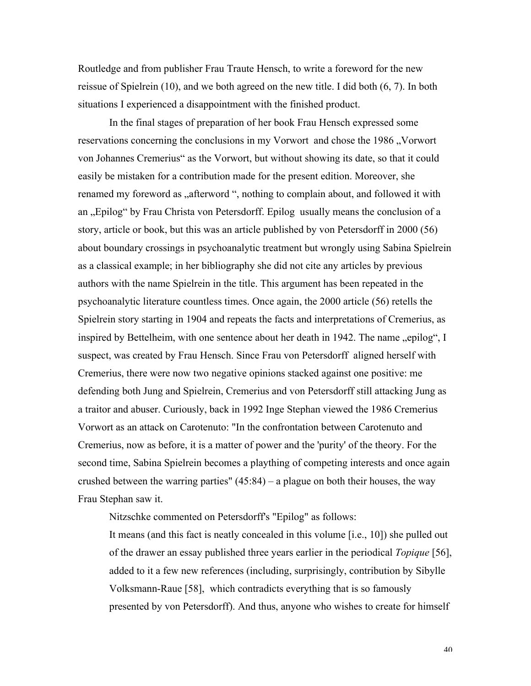Routledge and from publisher Frau Traute Hensch, to write a foreword for the new reissue of Spielrein (10), and we both agreed on the new title. I did both (6, 7). In both situations I experienced a disappointment with the finished product.

In the final stages of preparation of her book Frau Hensch expressed some reservations concerning the conclusions in my Vorwort and chose the 1986, Vorwort von Johannes Cremerius" as the Vorwort, but without showing its date, so that it could easily be mistaken for a contribution made for the present edition. Moreover, she renamed my foreword as "afterword", nothing to complain about, and followed it with an "Epilog" by Frau Christa von Petersdorff. Epilog usually means the conclusion of a story, article or book, but this was an article published by von Petersdorff in 2000 (56) about boundary crossings in psychoanalytic treatment but wrongly using Sabina Spielrein as a classical example; in her bibliography she did not cite any articles by previous authors with the name Spielrein in the title. This argument has been repeated in the psychoanalytic literature countless times. Once again, the 2000 article (56) retells the Spielrein story starting in 1904 and repeats the facts and interpretations of Cremerius, as inspired by Bettelheim, with one sentence about her death in 1942. The name "epilog", I suspect, was created by Frau Hensch. Since Frau von Petersdorff aligned herself with Cremerius, there were now two negative opinions stacked against one positive: me defending both Jung and Spielrein, Cremerius and von Petersdorff still attacking Jung as a traitor and abuser. Curiously, back in 1992 Inge Stephan viewed the 1986 Cremerius Vorwort as an attack on Carotenuto: "In the confrontation between Carotenuto and Cremerius, now as before, it is a matter of power and the 'purity' of the theory. For the second time, Sabina Spielrein becomes a plaything of competing interests and once again crushed between the warring parties"  $(45:84)$  – a plague on both their houses, the way Frau Stephan saw it.

Nitzschke commented on Petersdorff's "Epilog" as follows:

It means (and this fact is neatly concealed in this volume [i.e., 10]) she pulled out of the drawer an essay published three years earlier in the periodical *Topique* [56], added to it a few new references (including, surprisingly, contribution by Sibylle Volksmann-Raue [58], which contradicts everything that is so famously presented by von Petersdorff). And thus, anyone who wishes to create for himself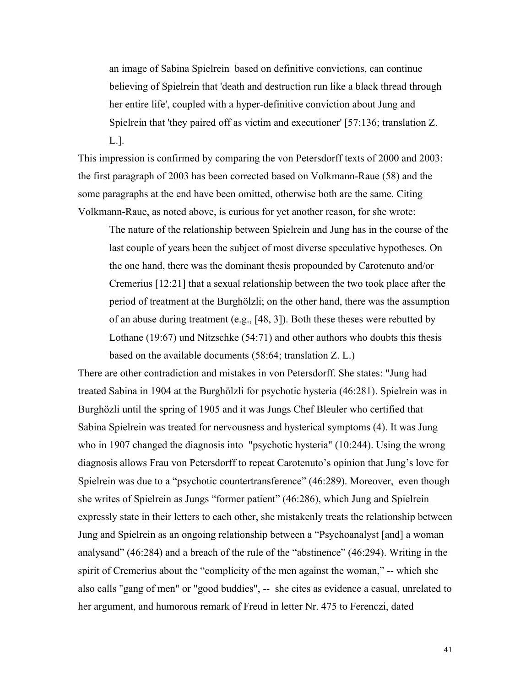an image of Sabina Spielrein based on definitive convictions, can continue believing of Spielrein that 'death and destruction run like a black thread through her entire life', coupled with a hyper-definitive conviction about Jung and Spielrein that 'they paired off as victim and executioner' [57:136; translation Z. L.].

This impression is confirmed by comparing the von Petersdorff texts of 2000 and 2003: the first paragraph of 2003 has been corrected based on Volkmann-Raue (58) and the some paragraphs at the end have been omitted, otherwise both are the same. Citing Volkmann-Raue, as noted above, is curious for yet another reason, for she wrote:

The nature of the relationship between Spielrein and Jung has in the course of the last couple of years been the subject of most diverse speculative hypotheses. On the one hand, there was the dominant thesis propounded by Carotenuto and/or Cremerius [12:21] that a sexual relationship between the two took place after the period of treatment at the Burghölzli; on the other hand, there was the assumption of an abuse during treatment (e.g., [48, 3]). Both these theses were rebutted by Lothane (19:67) und Nitzschke (54:71) and other authors who doubts this thesis based on the available documents (58:64; translation Z. L.)

There are other contradiction and mistakes in von Petersdorff. She states: "Jung had treated Sabina in 1904 at the Burghölzli for psychotic hysteria (46:281). Spielrein was in Burghözli until the spring of 1905 and it was Jungs Chef Bleuler who certified that Sabina Spielrein was treated for nervousness and hysterical symptoms (4). It was Jung who in 1907 changed the diagnosis into "psychotic hysteria" (10:244). Using the wrong diagnosis allows Frau von Petersdorff to repeat Carotenuto's opinion that Jung's love for Spielrein was due to a "psychotic countertransference" (46:289). Moreover, even though she writes of Spielrein as Jungs "former patient" (46:286), which Jung and Spielrein expressly state in their letters to each other, she mistakenly treats the relationship between Jung and Spielrein as an ongoing relationship between a "Psychoanalyst [and] a woman analysand" (46:284) and a breach of the rule of the "abstinence" (46:294). Writing in the spirit of Cremerius about the "complicity of the men against the woman," -- which she also calls "gang of men" or "good buddies", -- she cites as evidence a casual, unrelated to her argument, and humorous remark of Freud in letter Nr. 475 to Ferenczi, dated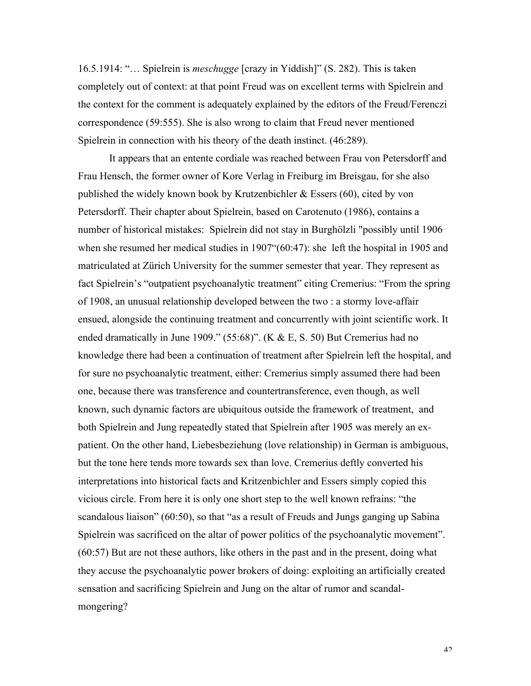16.5.1914: "… Spielrein is *meschugge* [crazy in Yiddish]" (S. 282). This is taken completely out of context: at that point Freud was on excellent terms with Spielrein and the context for the comment is adequately explained by the editors of the Freud/Ferenczi correspondence (59:555). She is also wrong to claim that Freud never mentioned Spielrein in connection with his theory of the death instinct. (46:289).

It appears that an entente cordiale was reached between Frau von Petersdorff and Frau Hensch, the former owner of Kore Verlag in Freiburg im Breisgau, for she also published the widely known book by Krutzenbichler & Essers (60), cited by von Petersdorff. Their chapter about Spielrein, based on Carotenuto (1986), contains a number of historical mistakes: Spielrein did not stay in Burghölzli "possibly until 1906 when she resumed her medical studies in 1907<sup>"</sup>(60:47): she left the hospital in 1905 and matriculated at Zürich University for the summer semester that year. They represent as fact Spielrein's "outpatient psychoanalytic treatment" citing Cremerius: "From the spring of 1908, an unusual relationship developed between the two : a stormy love-affair ensued, alongside the continuing treatment and concurrently with joint scientific work. It ended dramatically in June 1909." (55:68)". (K & E, S. 50) But Cremerius had no knowledge there had been a continuation of treatment after Spielrein left the hospital, and for sure no psychoanalytic treatment, either: Cremerius simply assumed there had been one, because there was transference and countertransference, even though, as well known, such dynamic factors are ubiquitous outside the framework of treatment, and both Spielrein and Jung repeatedly stated that Spielrein after 1905 was merely an expatient. On the other hand, Liebesbeziehung (love relationship) in German is ambiguous, but the tone here tends more towards sex than love. Cremerius deftly converted his interpretations into historical facts and Kritzenbichler and Essers simply copied this vicious circle. From here it is only one short step to the well known refrains: "the scandalous liaison" (60:50), so that "as a result of Freuds and Jungs ganging up Sabina Spielrein was sacrificed on the altar of power politics of the psychoanalytic movement". (60:57) But are not these authors, like others in the past and in the present, doing what they accuse the psychoanalytic power brokers of doing: exploiting an artificially created sensation and sacrificing Spielrein and Jung on the altar of rumor and scandalmongering?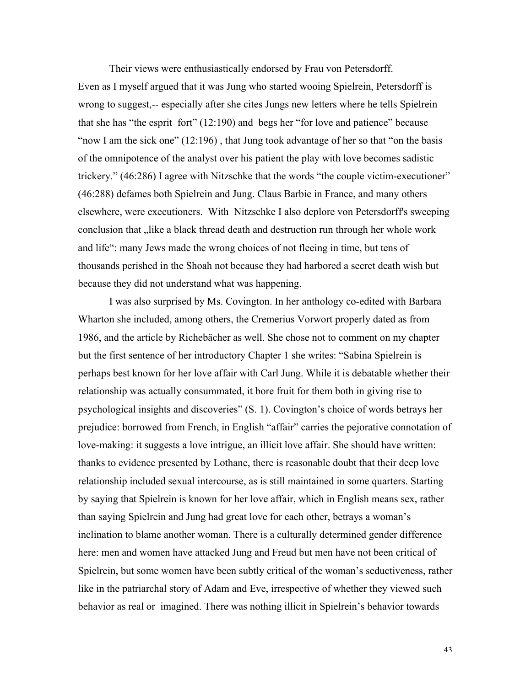Their views were enthusiastically endorsed by Frau von Petersdorff. Even as I myself argued that it was Jung who started wooing Spielrein, Petersdorff is wrong to suggest,-- especially after she cites Jungs new letters where he tells Spielrein that she has "the esprit fort" (12:190) and begs her "for love and patience" because "now I am the sick one" (12:196), that Jung took advantage of her so that "on the basis" of the omnipotence of the analyst over his patient the play with love becomes sadistic trickery." (46:286) I agree with Nitzschke that the words "the couple victim-executioner" (46:288) defames both Spielrein and Jung. Claus Barbie in France, and many others elsewhere, were executioners. With Nitzschke I also deplore von Petersdorff's sweeping conclusion that "like a black thread death and destruction run through her whole work and life": many Jews made the wrong choices of not fleeing in time, but tens of thousands perished in the Shoah not because they had harbored a secret death wish but because they did not understand what was happening.

I was also surprised by Ms. Covington. In her anthology co-edited with Barbara Wharton she included, among others, the Cremerius Vorwort properly dated as from 1986, and the article by Richebächer as well. She chose not to comment on my chapter but the first sentence of her introductory Chapter 1 she writes: "Sabina Spielrein is perhaps best known for her love affair with Carl Jung. While it is debatable whether their relationship was actually consummated, it bore fruit for them both in giving rise to psychological insights and discoveries" (S. 1). Covington's choice of words betrays her prejudice: borrowed from French, in English "affair" carries the pejorative connotation of love-making: it suggests a love intrigue, an illicit love affair. She should have written: thanks to evidence presented by Lothane, there is reasonable doubt that their deep love relationship included sexual intercourse, as is still maintained in some quarters. Starting by saying that Spielrein is known for her love affair, which in English means sex, rather than saying Spielrein and Jung had great love for each other, betrays a woman's inclination to blame another woman. There is a culturally determined gender difference here: men and women have attacked Jung and Freud but men have not been critical of Spielrein, but some women have been subtly critical of the woman's seductiveness, rather like in the patriarchal story of Adam and Eve, irrespective of whether they viewed such behavior as real or imagined. There was nothing illicit in Spielrein's behavior towards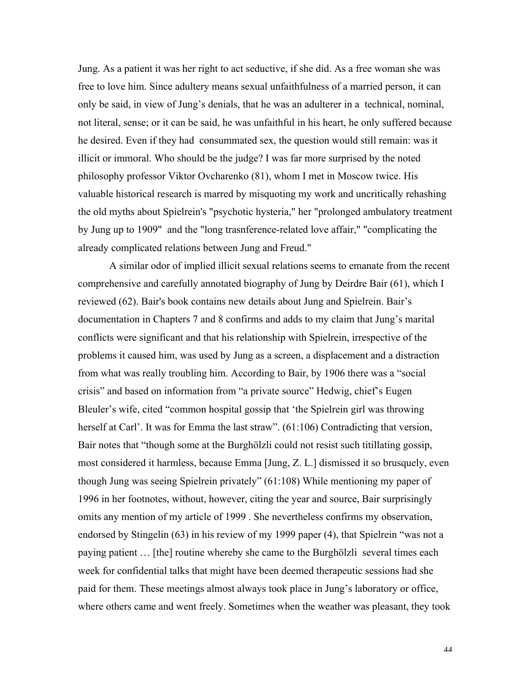Jung. As a patient it was her right to act seductive, if she did. As a free woman she was free to love him. Since adultery means sexual unfaithfulness of a married person, it can only be said, in view of Jung's denials, that he was an adulterer in a technical, nominal, not literal, sense; or it can be said, he was unfaithful in his heart, he only suffered because he desired. Even if they had consummated sex, the question would still remain: was it illicit or immoral. Who should be the judge? I was far more surprised by the noted philosophy professor Viktor Ovcharenko (81), whom I met in Moscow twice. His valuable historical research is marred by misquoting my work and uncritically rehashing the old myths about Spielrein's "psychotic hysteria," her "prolonged ambulatory treatment by Jung up to 1909" and the "long trasnference-related love affair," "complicating the already complicated relations between Jung and Freud."

A similar odor of implied illicit sexual relations seems to emanate from the recent comprehensive and carefully annotated biography of Jung by Deirdre Bair (61), which I reviewed (62). Bair's book contains new details about Jung and Spielrein. Bair's documentation in Chapters 7 and 8 confirms and adds to my claim that Jung's marital conflicts were significant and that his relationship with Spielrein, irrespective of the problems it caused him, was used by Jung as a screen, a displacement and a distraction from what was really troubling him. According to Bair, by 1906 there was a "social crisis" and based on information from "a private source" Hedwig, chief's Eugen Bleuler's wife, cited "common hospital gossip that 'the Spielrein girl was throwing herself at Carl'. It was for Emma the last straw". (61:106) Contradicting that version, Bair notes that "though some at the Burghölzli could not resist such titillating gossip, most considered it harmless, because Emma [Jung, Z. L.] dismissed it so brusquely, even though Jung was seeing Spielrein privately" (61:108) While mentioning my paper of 1996 in her footnotes, without, however, citing the year and source, Bair surprisingly omits any mention of my article of 1999 . She nevertheless confirms my observation, endorsed by Stingelin (63) in his review of my 1999 paper (4), that Spielrein "was not a paying patient … [the] routine whereby she came to the Burghölzli several times each week for confidential talks that might have been deemed therapeutic sessions had she paid for them. These meetings almost always took place in Jung's laboratory or office, where others came and went freely. Sometimes when the weather was pleasant, they took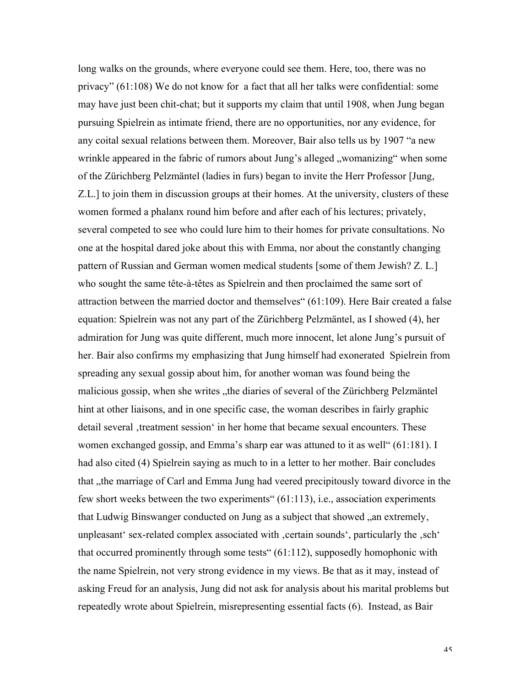long walks on the grounds, where everyone could see them. Here, too, there was no privacy" (61:108) We do not know for a fact that all her talks were confidential: some may have just been chit-chat; but it supports my claim that until 1908, when Jung began pursuing Spielrein as intimate friend, there are no opportunities, nor any evidence, for any coital sexual relations between them. Moreover, Bair also tells us by 1907 "a new wrinkle appeared in the fabric of rumors about Jung's alleged "womanizing" when some of the Zürichberg Pelzmäntel (ladies in furs) began to invite the Herr Professor [Jung, Z.L.] to join them in discussion groups at their homes. At the university, clusters of these women formed a phalanx round him before and after each of his lectures; privately, several competed to see who could lure him to their homes for private consultations. No one at the hospital dared joke about this with Emma, nor about the constantly changing pattern of Russian and German women medical students [some of them Jewish? Z. L.] who sought the same tête-à-têtes as Spielrein and then proclaimed the same sort of attraction between the married doctor and themselves" (61:109). Here Bair created a false equation: Spielrein was not any part of the Zürichberg Pelzmäntel, as I showed (4), her admiration for Jung was quite different, much more innocent, let alone Jung's pursuit of her. Bair also confirms my emphasizing that Jung himself had exonerated Spielrein from spreading any sexual gossip about him, for another woman was found being the malicious gossip, when she writes "the diaries of several of the Zürichberg Pelzmäntel hint at other liaisons, and in one specific case, the woman describes in fairly graphic detail several treatment session in her home that became sexual encounters. These women exchanged gossip, and Emma's sharp ear was attuned to it as well" (61:181). I had also cited (4) Spielrein saying as much to in a letter to her mother. Bair concludes that , the marriage of Carl and Emma Jung had veered precipitously toward divorce in the few short weeks between the two experiments" (61:113), i.e., association experiments that Ludwig Binswanger conducted on Jung as a subject that showed "an extremely". unpleasant' sex-related complex associated with , certain sounds', particularly the , sch' that occurred prominently through some tests" (61:112), supposedly homophonic with the name Spielrein, not very strong evidence in my views. Be that as it may, instead of asking Freud for an analysis, Jung did not ask for analysis about his marital problems but repeatedly wrote about Spielrein, misrepresenting essential facts (6). Instead, as Bair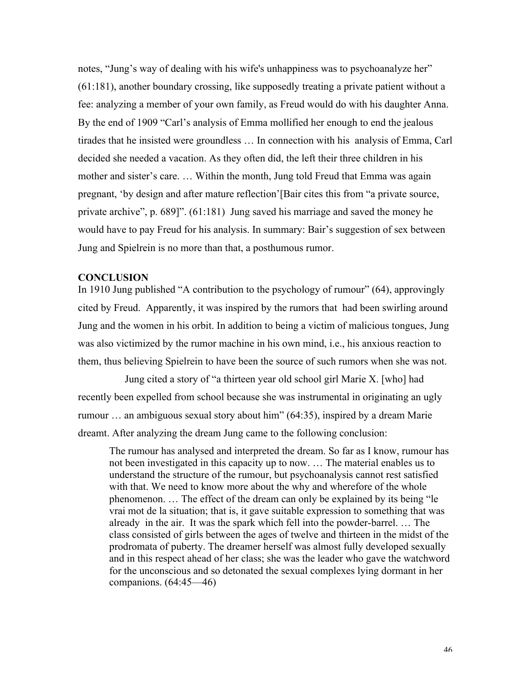notes, "Jung's way of dealing with his wife's unhappiness was to psychoanalyze her" (61:181), another boundary crossing, like supposedly treating a private patient without a fee: analyzing a member of your own family, as Freud would do with his daughter Anna. By the end of 1909 "Carl's analysis of Emma mollified her enough to end the jealous tirades that he insisted were groundless … In connection with his analysis of Emma, Carl decided she needed a vacation. As they often did, the left their three children in his mother and sister's care. ... Within the month, Jung told Freud that Emma was again pregnant, 'by design and after mature reflection'[Bair cites this from "a private source, private archive", p. 689]". (61:181) Jung saved his marriage and saved the money he would have to pay Freud for his analysis. In summary: Bair's suggestion of sex between Jung and Spielrein is no more than that, a posthumous rumor.

# **CONCLUSION**

In 1910 Jung published "A contribution to the psychology of rumour" (64), approvingly cited by Freud. Apparently, it was inspired by the rumors that had been swirling around Jung and the women in his orbit. In addition to being a victim of malicious tongues, Jung was also victimized by the rumor machine in his own mind, i.e., his anxious reaction to them, thus believing Spielrein to have been the source of such rumors when she was not.

 Jung cited a story of "a thirteen year old school girl Marie X. [who] had recently been expelled from school because she was instrumental in originating an ugly rumour … an ambiguous sexual story about him" (64:35), inspired by a dream Marie dreamt. After analyzing the dream Jung came to the following conclusion:

The rumour has analysed and interpreted the dream. So far as I know, rumour has not been investigated in this capacity up to now. … The material enables us to understand the structure of the rumour, but psychoanalysis cannot rest satisfied with that. We need to know more about the why and wherefore of the whole phenomenon. … The effect of the dream can only be explained by its being "le vrai mot de la situation; that is, it gave suitable expression to something that was already in the air. It was the spark which fell into the powder-barrel. … The class consisted of girls between the ages of twelve and thirteen in the midst of the prodromata of puberty. The dreamer herself was almost fully developed sexually and in this respect ahead of her class; she was the leader who gave the watchword for the unconscious and so detonated the sexual complexes lying dormant in her companions. (64:45—46)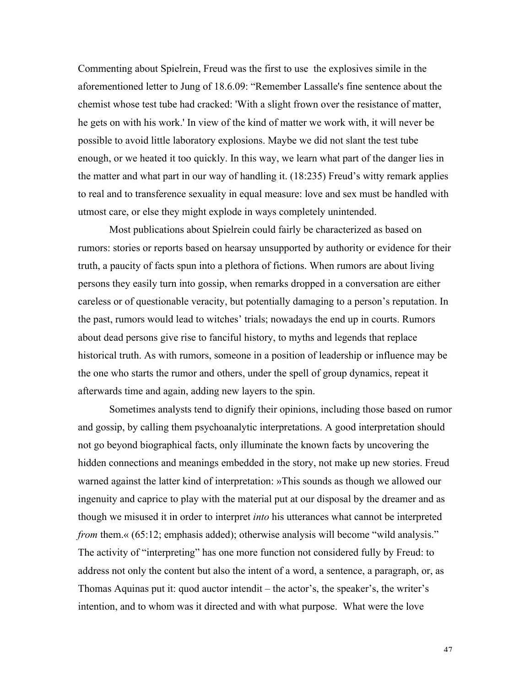Commenting about Spielrein, Freud was the first to use the explosives simile in the aforementioned letter to Jung of 18.6.09: "Remember Lassalle's fine sentence about the chemist whose test tube had cracked: 'With a slight frown over the resistance of matter, he gets on with his work.' In view of the kind of matter we work with, it will never be possible to avoid little laboratory explosions. Maybe we did not slant the test tube enough, or we heated it too quickly. In this way, we learn what part of the danger lies in the matter and what part in our way of handling it. (18:235) Freud's witty remark applies to real and to transference sexuality in equal measure: love and sex must be handled with utmost care, or else they might explode in ways completely unintended.

Most publications about Spielrein could fairly be characterized as based on rumors: stories or reports based on hearsay unsupported by authority or evidence for their truth, a paucity of facts spun into a plethora of fictions. When rumors are about living persons they easily turn into gossip, when remarks dropped in a conversation are either careless or of questionable veracity, but potentially damaging to a person's reputation. In the past, rumors would lead to witches' trials; nowadays the end up in courts. Rumors about dead persons give rise to fanciful history, to myths and legends that replace historical truth. As with rumors, someone in a position of leadership or influence may be the one who starts the rumor and others, under the spell of group dynamics, repeat it afterwards time and again, adding new layers to the spin.

Sometimes analysts tend to dignify their opinions, including those based on rumor and gossip, by calling them psychoanalytic interpretations. A good interpretation should not go beyond biographical facts, only illuminate the known facts by uncovering the hidden connections and meanings embedded in the story, not make up new stories. Freud warned against the latter kind of interpretation: »This sounds as though we allowed our ingenuity and caprice to play with the material put at our disposal by the dreamer and as though we misused it in order to interpret *into* his utterances what cannot be interpreted *from* them.« (65:12; emphasis added); otherwise analysis will become "wild analysis." The activity of "interpreting" has one more function not considered fully by Freud: to address not only the content but also the intent of a word, a sentence, a paragraph, or, as Thomas Aquinas put it: quod auctor intendit – the actor's, the speaker's, the writer's intention, and to whom was it directed and with what purpose. What were the love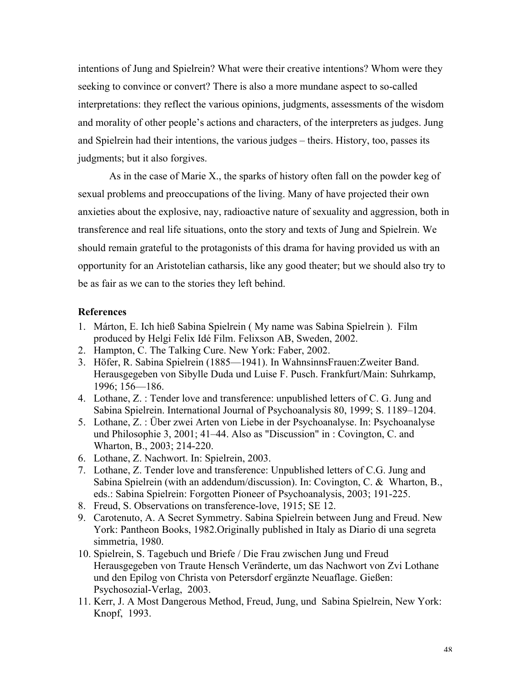intentions of Jung and Spielrein? What were their creative intentions? Whom were they seeking to convince or convert? There is also a more mundane aspect to so-called interpretations: they reflect the various opinions, judgments, assessments of the wisdom and morality of other people's actions and characters, of the interpreters as judges. Jung and Spielrein had their intentions, the various judges – theirs. History, too, passes its judgments; but it also forgives.

As in the case of Marie X., the sparks of history often fall on the powder keg of sexual problems and preoccupations of the living. Many of have projected their own anxieties about the explosive, nay, radioactive nature of sexuality and aggression, both in transference and real life situations, onto the story and texts of Jung and Spielrein. We should remain grateful to the protagonists of this drama for having provided us with an opportunity for an Aristotelian catharsis, like any good theater; but we should also try to be as fair as we can to the stories they left behind.

## **References**

- 1. Márton, E. Ich hieß Sabina Spielrein ( My name was Sabina Spielrein ). Film produced by Helgi Felix Idé Film. Felixson AB, Sweden, 2002.
- 2. Hampton, C. The Talking Cure. New York: Faber, 2002.
- 3. Höfer, R. Sabina Spielrein (1885—1941). In WahnsinnsFrauen:Zweiter Band. Herausgegeben von Sibylle Duda und Luise F. Pusch. Frankfurt/Main: Suhrkamp, 1996; 156—186.
- 4. Lothane, Z. : Tender love and transference: unpublished letters of C. G. Jung and Sabina Spielrein. International Journal of Psychoanalysis 80, 1999; S. 1189–1204.
- 5. Lothane, Z. : Über zwei Arten von Liebe in der Psychoanalyse. In: Psychoanalyse und Philosophie 3, 2001; 41–44. Also as "Discussion" in : Covington, C. and Wharton, B., 2003; 214-220.
- 6. Lothane, Z. Nachwort. In: Spielrein, 2003.
- 7. Lothane, Z. Tender love and transference: Unpublished letters of C.G. Jung and Sabina Spielrein (with an addendum/discussion). In: Covington, C. & Wharton, B., eds.: Sabina Spielrein: Forgotten Pioneer of Psychoanalysis, 2003; 191-225.
- 8. Freud, S. Observations on transference-love, 1915; SE 12.
- 9. Carotenuto, A. A Secret Symmetry. Sabina Spielrein between Jung and Freud. New York: Pantheon Books, 1982.Originally published in Italy as Diario di una segreta simmetria, 1980.
- 10. Spielrein, S. Tagebuch und Briefe / Die Frau zwischen Jung und Freud Herausgegeben von Traute Hensch Veränderte, um das Nachwort von Zvi Lothane und den Epilog von Christa von Petersdorf ergänzte Neuaflage. Gießen: Psychosozial-Verlag, 2003.
- 11. Kerr, J. A Most Dangerous Method, Freud, Jung, und Sabina Spielrein, New York: Knopf, 1993.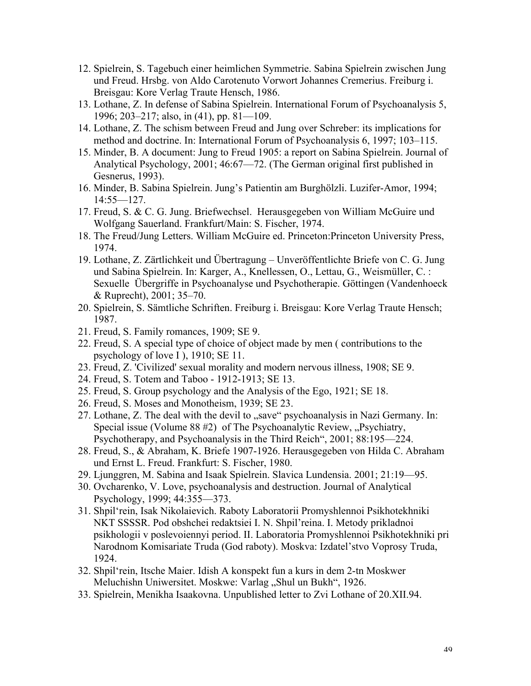- 12. Spielrein, S. Tagebuch einer heimlichen Symmetrie. Sabina Spielrein zwischen Jung und Freud. Hrsbg. von Aldo Carotenuto Vorwort Johannes Cremerius. Freiburg i. Breisgau: Kore Verlag Traute Hensch, 1986.
- 13. Lothane, Z. In defense of Sabina Spielrein. International Forum of Psychoanalysis 5, 1996; 203–217; also, in (41), pp. 81—109.
- 14. Lothane, Z. The schism between Freud and Jung over Schreber: its implications for method and doctrine. In: International Forum of Psychoanalysis 6, 1997; 103–115.
- 15. Minder, B. A document: Jung to Freud 1905: a report on Sabina Spielrein. Journal of Analytical Psychology, 2001; 46:67—72. (The German original first published in Gesnerus, 1993).
- 16. Minder, B. Sabina Spielrein. Jung's Patientin am Burghölzli. Luzifer-Amor, 1994; 14:55—127.
- 17. Freud, S. & C. G. Jung. Briefwechsel. Herausgegeben von William McGuire und Wolfgang Sauerland. Frankfurt/Main: S. Fischer, 1974.
- 18. The Freud/Jung Letters. William McGuire ed. Princeton:Princeton University Press, 1974.
- 19. Lothane, Z. Zärtlichkeit und Übertragung Unveröffentlichte Briefe von C. G. Jung und Sabina Spielrein. In: Karger, A., Knellessen, O., Lettau, G., Weismüller, C. : Sexuelle Übergriffe in Psychoanalyse und Psychotherapie. Göttingen (Vandenhoeck & Ruprecht), 2001; 35–70.
- 20. Spielrein, S. Sämtliche Schriften. Freiburg i. Breisgau: Kore Verlag Traute Hensch; 1987.
- 21. Freud, S. Family romances, 1909; SE 9.
- 22. Freud, S. A special type of choice of object made by men ( contributions to the psychology of love I ), 1910; SE 11.
- 23. Freud, Z. 'Civilized' sexual morality and modern nervous illness, 1908; SE 9.
- 24. Freud, S. Totem and Taboo 1912-1913; SE 13.
- 25. Freud, S. Group psychology and the Analysis of the Ego, 1921; SE 18.
- 26. Freud, S. Moses and Monotheism, 1939; SE 23.
- 27. Lothane, Z. The deal with the devil to "save" psychoanalysis in Nazi Germany. In: Special issue (Volume 88 #2) of The Psychoanalytic Review, "Psychiatry, Psychotherapy, and Psychoanalysis in the Third Reich", 2001; 88:195—224.
- 28. Freud, S., & Abraham, K. Briefe 1907-1926. Herausgegeben von Hilda C. Abraham und Ernst L. Freud. Frankfurt: S. Fischer, 1980.
- 29. Ljunggren, M. Sabina and Isaak Spielrein. Slavica Lundensia. 2001; 21:19—95.
- 30. Ovcharenko, V. Love, psychoanalysis and destruction. Journal of Analytical Psychology, 1999; 44:355—373.
- 31. Shpil'rein, Isak Nikolaievich. Raboty Laboratorii Promyshlennoi Psikhotekhniki NKT SSSSR. Pod obshchei redaktsiei I. N. Shpil'reina. I. Metody prikladnoi psikhologii v poslevoiennyi period. II. Laboratoria Promyshlennoi Psikhotekhniki pri Narodnom Komisariate Truda (God raboty). Moskva: Izdatel'stvo Voprosy Truda, 1924.
- 32. Shpil'rein, Itsche Maier. Idish A konspekt fun a kurs in dem 2-tn Moskwer Meluchishn Uniwersitet. Moskwe: Varlag "Shul un Bukh", 1926.
- 33. Spielrein, Menikha Isaakovna. Unpublished letter to Zvi Lothane of 20.XII.94.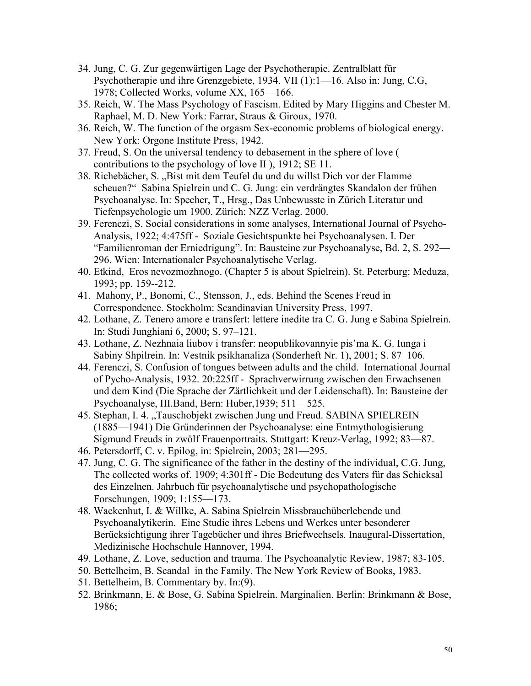- 34. Jung, C. G. Zur gegenwärtigen Lage der Psychotherapie. Zentralblatt für Psychotherapie und ihre Grenzgebiete, 1934. VII (1):1—16. Also in: Jung, C.G, 1978; Collected Works, volume XX, 165—166.
- 35. Reich, W. The Mass Psychology of Fascism. Edited by Mary Higgins and Chester M. Raphael, M. D. New York: Farrar, Straus & Giroux, 1970.
- 36. Reich, W. The function of the orgasm Sex-economic problems of biological energy. New York: Orgone Institute Press, 1942.
- 37. Freud, S. On the universal tendency to debasement in the sphere of love ( contributions to the psychology of love II ), 1912; SE 11.
- 38. Richebächer, S. "Bist mit dem Teufel du und du willst Dich vor der Flamme scheuen?" Sabina Spielrein und C. G. Jung: ein verdrängtes Skandalon der frühen Psychoanalyse. In: Specher, T., Hrsg., Das Unbewusste in Zürich Literatur und Tiefenpsychologie um 1900. Zürich: NZZ Verlag. 2000.
- 39. Ferenczi, S. Social considerations in some analyses, International Journal of Psycho-Analysis, 1922; 4:475ff - Soziale Gesichtspunkte bei Psychoanalysen. I. Der "Familienroman der Erniedrigung". In: Bausteine zur Psychoanalyse, Bd. 2, S. 292— 296. Wien: Internationaler Psychoanalytische Verlag.
- 40. Etkind, Eros nevozmozhnogo. (Chapter 5 is about Spielrein). St. Peterburg: Meduza, 1993; pp. 159--212.
- 41. Mahony, P., Bonomi, C., Stensson, J., eds. Behind the Scenes Freud in Correspondence. Stockholm: Scandinavian University Press, 1997.
- 42. Lothane, Z. Tenero amore e transfert: lettere inedite tra C. G. Jung e Sabina Spielrein. In: Studi Junghiani 6, 2000; S. 97–121.
- 43. Lothane, Z. Nezhnaia liubov i transfer: neopublikovannyie pis'ma K. G. Iunga i Sabiny Shpilrein. In: Vestnik psikhanaliza (Sonderheft Nr. 1), 2001; S. 87–106.
- 44. Ferenczi, S. Confusion of tongues between adults and the child. International Journal of Pycho-Analysis, 1932. 20:225ff - Sprachverwirrung zwischen den Erwachsenen und dem Kind (Die Sprache der Zärtlichkeit und der Leidenschaft). In: Bausteine der Psychoanalyse, III.Band, Bern: Huber,1939; 511—525.
- 45. Stephan, I. 4. "Tauschobjekt zwischen Jung und Freud. SABINA SPIELREIN (1885—1941) Die Gründerinnen der Psychoanalyse: eine Entmythologisierung Sigmund Freuds in zwölf Frauenportraits. Stuttgart: Kreuz-Verlag, 1992; 83—87.
- 46. Petersdorff, C. v. Epilog, in: Spielrein, 2003; 281—295.
- 47. Jung, C. G. The significance of the father in the destiny of the individual, C.G. Jung, The collected works of. 1909; 4:301ff - Die Bedeutung des Vaters für das Schicksal des Einzelnen. Jahrbuch für psychoanalytische und psychopathologische Forschungen, 1909; 1:155—173.
- 48. Wackenhut, I. & Willke, A. Sabina Spielrein Missbrauchüberlebende und Psychoanalytikerin. Eine Studie ihres Lebens und Werkes unter besonderer Berücksichtigung ihrer Tagebücher und ihres Briefwechsels. Inaugural-Dissertation, Medizinische Hochschule Hannover, 1994.
- 49. Lothane, Z. Love, seduction and trauma. The Psychoanalytic Review, 1987; 83-105.
- 50. Bettelheim, B. Scandal in the Family. The New York Review of Books, 1983.
- 51. Bettelheim, B. Commentary by. In:(9).
- 52. Brinkmann, E. & Bose, G. Sabina Spielrein. Marginalien. Berlin: Brinkmann & Bose, 1986;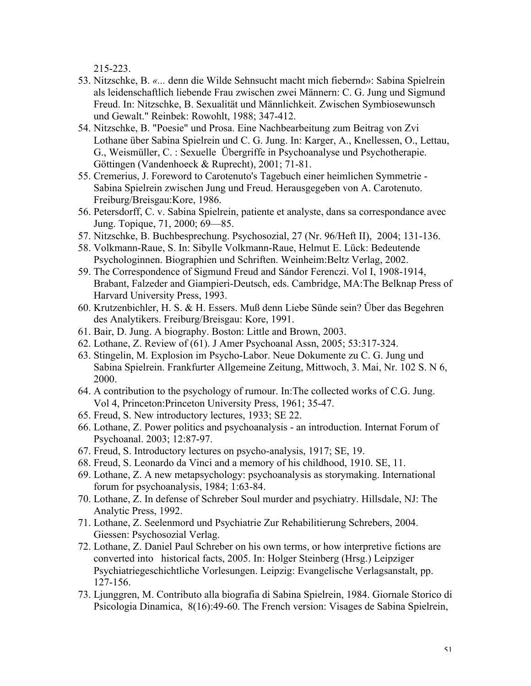215-223.

- 53. Nitzschke, B. *«...* denn die Wilde Sehnsucht macht mich fiebernd»: Sabina Spielrein als leidenschaftlich liebende Frau zwischen zwei Männern: C. G. Jung und Sigmund Freud. In: Nitzschke, B. Sexualität und Männlichkeit. Zwischen Symbiosewunsch und Gewalt." Reinbek: Rowohlt, 1988; 347-412.
- 54. Nitzschke, B. "Poesie" und Prosa. Eine Nachbearbeitung zum Beitrag von Zvi Lothane über Sabina Spielrein und C. G. Jung. In: Karger, A., Knellessen, O., Lettau, G., Weismüller, C. : Sexuelle Übergriffe in Psychoanalyse und Psychotherapie. Göttingen (Vandenhoeck & Ruprecht), 2001; 71-81.
- 55. Cremerius, J. Foreword to Carotenuto's Tagebuch einer heimlichen Symmetrie Sabina Spielrein zwischen Jung und Freud. Herausgegeben von A. Carotenuto. Freiburg/Breisgau:Kore, 1986.
- 56. Petersdorff, C. v. Sabina Spielrein, patiente et analyste, dans sa correspondance avec Jung. Topique, 71, 2000; 69—85.
- 57. Nitzschke, B. Buchbesprechung. Psychosozial, 27 (Nr. 96/Heft II), 2004; 131-136.
- 58. Volkmann-Raue, S. In: Sibylle Volkmann-Raue, Helmut E. Lück: Bedeutende Psychologinnen. Biographien und Schriften. Weinheim:Beltz Verlag, 2002.
- 59. The Correspondence of Sigmund Freud and Sándor Ferenczi. Vol I, 1908-1914, Brabant, Falzeder and Giampieri-Deutsch, eds. Cambridge, MA:The Belknap Press of Harvard University Press, 1993.
- 60. Krutzenbichler, H. S. & H. Essers. Muß denn Liebe Sünde sein? Über das Begehren des Analytikers. Freiburg/Breisgau: Kore, 1991.
- 61. Bair, D. Jung. A biography. Boston: Little and Brown, 2003.
- 62. Lothane, Z. Review of (61). J Amer Psychoanal Assn, 2005; 53:317-324.
- 63. Stingelin, M. Explosion im Psycho-Labor. Neue Dokumente zu C. G. Jung und Sabina Spielrein. Frankfurter Allgemeine Zeitung, Mittwoch, 3. Mai, Nr. 102 S. N 6, 2000.
- 64. A contribution to the psychology of rumour. In:The collected works of C.G. Jung. Vol 4, Princeton:Princeton University Press, 1961; 35-47.
- 65. Freud, S. New introductory lectures, 1933; SE 22.
- 66. Lothane, Z. Power politics and psychoanalysis an introduction. Internat Forum of Psychoanal. 2003; 12:87-97.
- 67. Freud, S. Introductory lectures on psycho-analysis, 1917; SE, 19.
- 68. Freud, S. Leonardo da Vinci and a memory of his childhood, 1910. SE, 11.
- 69. Lothane, Z. A new metapsychology: psychoanalysis as storymaking. International forum for psychoanalysis, 1984; 1:63-84.
- 70. Lothane, Z. In defense of Schreber Soul murder and psychiatry. Hillsdale, NJ: The Analytic Press, 1992.
- 71. Lothane, Z. Seelenmord und Psychiatrie Zur Rehabilitierung Schrebers, 2004. Giessen: Psychosozial Verlag.
- 72. Lothane, Z. Daniel Paul Schreber on his own terms, or how interpretive fictions are converted into historical facts, 2005. In: Holger Steinberg (Hrsg.) Leipziger Psychiatriegeschichtliche Vorlesungen. Leipzig: Evangelische Verlagsanstalt, pp. 127-156.
- 73. Ljunggren, M. Contributo alla biografia di Sabina Spielrein, 1984. Giornale Storico di Psicologia Dinamica, 8(16):49-60. The French version: Visages de Sabina Spielrein,